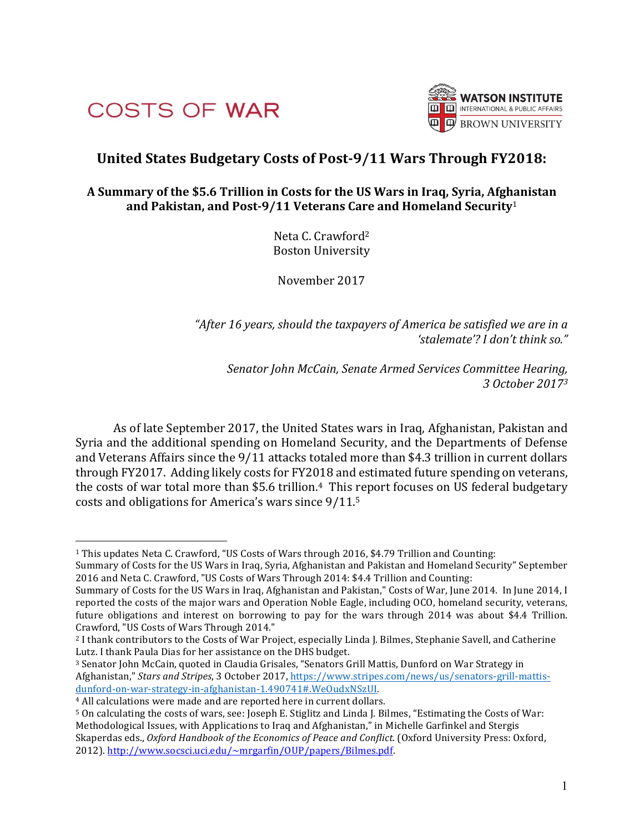



# **United States Budgetary Costs of Post-9/11 Wars Through FY2018:**

# A Summary of the \$5.6 Trillion in Costs for the US Wars in Iraq, Syria, Afghanistan and Pakistan, and Post-9/11 Veterans Care and Homeland Security<sup>1</sup>

Neta C. Crawford<sup>2</sup> **Boston University** 

November 2017

"After 16 years, should the taxpayers of America be satisfied we are in a *'stalemate'? I don't think so."* 

Senator John McCain, Senate Armed Services Committee Hearing, *3 October 20173*

As of late September 2017, the United States wars in Iraq, Afghanistan, Pakistan and Syria and the additional spending on Homeland Security, and the Departments of Defense and Veterans Affairs since the 9/11 attacks totaled more than \$4.3 trillion in current dollars through FY2017. Adding likely costs for FY2018 and estimated future spending on veterans, the costs of war total more than \$5.6 trillion.<sup>4</sup> This report focuses on US federal budgetary costs and obligations for America's wars since 9/11.<sup>5</sup>

<sup>&</sup>lt;sup>1</sup> This updates Neta C. Crawford, "US Costs of Wars through 2016, \$4.79 Trillion and Counting:

Summary of Costs for the US Wars in Iraq, Syria, Afghanistan and Pakistan and Homeland Security" September 2016 and Neta C. Crawford, "US Costs of Wars Through 2014: \$4.4 Trillion and Counting:

Summary of Costs for the US Wars in Iraq, Afghanistan and Pakistan," Costs of War, June 2014. In June 2014, I reported the costs of the major wars and Operation Noble Eagle, including OCO, homeland security, veterans, future obligations and interest on borrowing to pay for the wars through  $2014$  was about \$4.4 Trillion. Crawford, "US Costs of Wars Through 2014."

<sup>&</sup>lt;sup>2</sup> I thank contributors to the Costs of War Project, especially Linda J. Bilmes, Stephanie Savell, and Catherine Lutz. I thank Paula Dias for her assistance on the DHS budget.

<sup>&</sup>lt;sup>3</sup> Senator John McCain, quoted in Claudia Grisales, "Senators Grill Mattis, Dunford on War Strategy in Afghanistan," Stars and Stripes, 3 October 2017, https://www.stripes.com/news/us/senators-grill-mattisdunford-on-war-strategy-in-afghanistan-1.490741#.WeOudxNSzUI. 

<sup>&</sup>lt;sup>4</sup> All calculations were made and are reported here in current dollars.

<sup>5</sup> On calculating the costs of wars, see: Joseph E. Stiglitz and Linda J. Bilmes, "Estimating the Costs of War: Methodological Issues, with Applications to Iraq and Afghanistan," in Michelle Garfinkel and Stergis Skaperdas eds., *Oxford Handbook of the Economics of Peace and Conflict*. (Oxford University Press: Oxford, 2012). http://www.socsci.uci.edu/~mrgarfin/OUP/papers/Bilmes.pdf.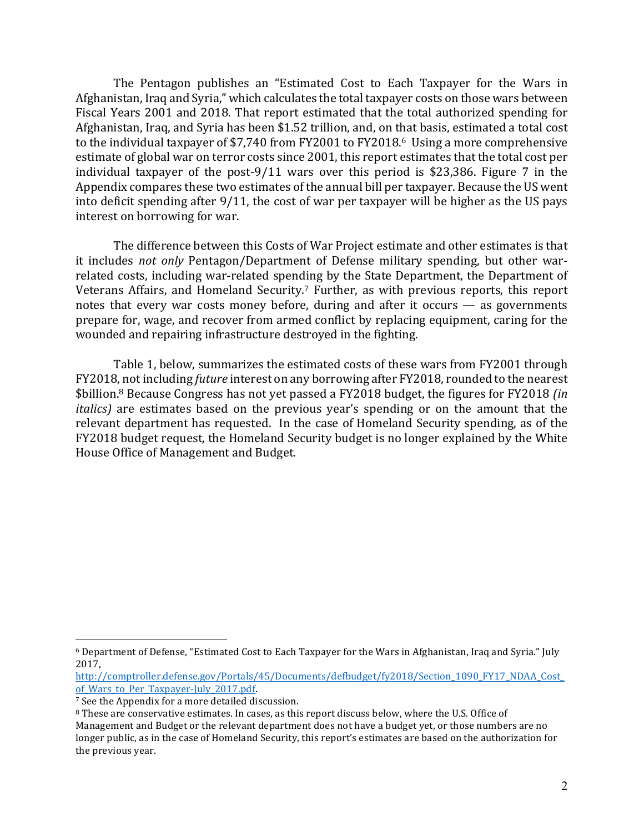The Pentagon publishes an "Estimated Cost to Each Taxpayer for the Wars in Afghanistan, Iraq and Syria," which calculates the total taxpayer costs on those wars between Fiscal Years 2001 and 2018. That report estimated that the total authorized spending for Afghanistan, Iraq, and Syria has been \$1.52 trillion, and, on that basis, estimated a total cost to the individual taxpayer of \$7,740 from  $FY2001$  to  $FY2018.6$  Using a more comprehensive estimate of global war on terror costs since 2001, this report estimates that the total cost per individual taxpayer of the post-9/11 wars over this period is \$23,386. Figure 7 in the Appendix compares these two estimates of the annual bill per taxpayer. Because the US went into deficit spending after  $9/11$ , the cost of war per taxpayer will be higher as the US pays interest on borrowing for war.

The difference between this Costs of War Project estimate and other estimates is that it includes *not only* Pentagon/Department of Defense military spending, but other warrelated costs, including war-related spending by the State Department, the Department of Veterans Affairs, and Homeland Security.<sup>7</sup> Further, as with previous reports, this report notes that every war costs money before, during and after it occurs  $-$  as governments prepare for, wage, and recover from armed conflict by replacing equipment, caring for the wounded and repairing infrastructure destroyed in the fighting.

Table 1, below, summarizes the estimated costs of these wars from FY2001 through FY2018, not including *future* interest on any borrowing after FY2018, rounded to the nearest \$billion.<sup>8</sup> Because Congress has not yet passed a FY2018 budget, the figures for FY2018 *(in italics*) are estimates based on the previous year's spending or on the amount that the relevant department has requested. In the case of Homeland Security spending, as of the FY2018 budget request, the Homeland Security budget is no longer explained by the White House Office of Management and Budget.

<sup>&</sup>lt;sup>6</sup> Department of Defense, "Estimated Cost to Each Taxpayer for the Wars in Afghanistan, Iraq and Syria." July 2017, 

http://comptroller.defense.gov/Portals/45/Documents/defbudget/fy2018/Section\_1090\_FY17\_NDAA\_Cost\_ of\_Wars\_to\_Per\_Taxpayer-July\_2017.pdf.

<sup>&</sup>lt;sup>7</sup> See the Appendix for a more detailed discussion.

<sup>&</sup>lt;sup>8</sup> These are conservative estimates. In cases, as this report discuss below, where the U.S. Office of

Management and Budget or the relevant department does not have a budget yet, or those numbers are no longer public, as in the case of Homeland Security, this report's estimates are based on the authorization for the previous year.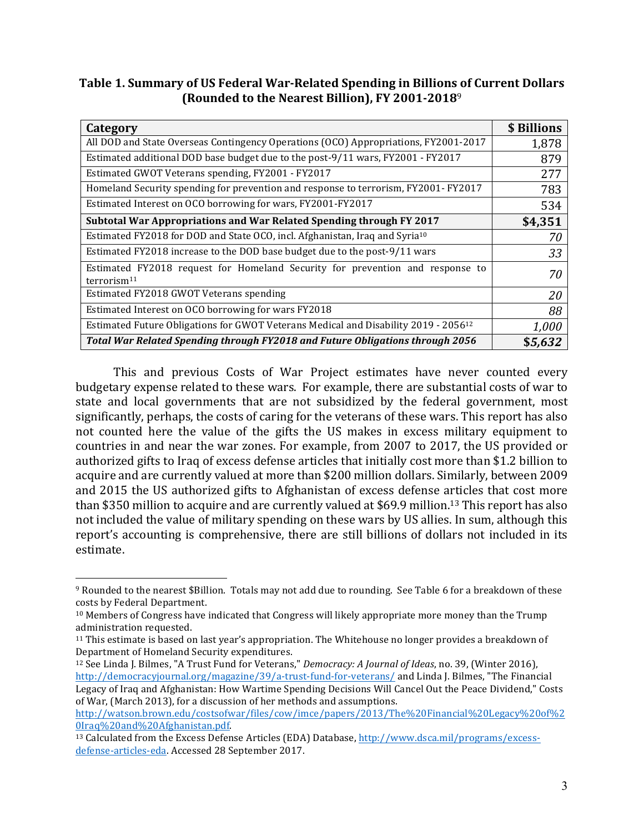Table 1. Summary of US Federal War-Related Spending in Billions of Current Dollars **(Rounded to the Nearest Billion), FY 2001-2018**<sup>9</sup>

| Category                                                                                                 | \$ Billions |
|----------------------------------------------------------------------------------------------------------|-------------|
| All DOD and State Overseas Contingency Operations (OCO) Appropriations, FY2001-2017                      | 1,878       |
| Estimated additional DOD base budget due to the post-9/11 wars, FY2001 - FY2017                          | 879         |
| Estimated GWOT Veterans spending, FY2001 - FY2017                                                        | 277         |
| Homeland Security spending for prevention and response to terrorism, FY2001- FY2017                      | 783         |
| Estimated Interest on OCO borrowing for wars, FY2001-FY2017                                              | 534         |
| Subtotal War Appropriations and War Related Spending through FY 2017                                     | \$4,351     |
| Estimated FY2018 for DOD and State OCO, incl. Afghanistan, Iraq and Syria <sup>10</sup>                  | 70          |
| Estimated FY2018 increase to the DOD base budget due to the post-9/11 wars                               | 33          |
| Estimated FY2018 request for Homeland Security for prevention and response to<br>terrorism <sup>11</sup> | 70          |
| Estimated FY2018 GWOT Veterans spending                                                                  | 20          |
| Estimated Interest on OCO borrowing for wars FY2018                                                      | 88          |
| Estimated Future Obligations for GWOT Veterans Medical and Disability 2019 - 2056 <sup>12</sup>          | 1,000       |
| Total War Related Spending through FY2018 and Future Obligations through 2056                            | \$5,632     |

This and previous Costs of War Project estimates have never counted every budgetary expense related to these wars. For example, there are substantial costs of war to state and local governments that are not subsidized by the federal government, most significantly, perhaps, the costs of caring for the veterans of these wars. This report has also not counted here the value of the gifts the US makes in excess military equipment to countries in and near the war zones. For example, from 2007 to 2017, the US provided or authorized gifts to Iraq of excess defense articles that initially cost more than \$1.2 billion to acquire and are currently valued at more than \$200 million dollars. Similarly, between 2009 and 2015 the US authorized gifts to Afghanistan of excess defense articles that cost more than \$350 million to acquire and are currently valued at \$69.9 million.<sup>13</sup> This report has also not included the value of military spending on these wars by US allies. In sum, although this report's accounting is comprehensive, there are still billions of dollars not included in its estimate.

<sup>9</sup> Rounded to the nearest \$Billion. Totals may not add due to rounding. See Table 6 for a breakdown of these costs by Federal Department.

 $10$  Members of Congress have indicated that Congress will likely appropriate more money than the Trump administration requested.

 $11$  This estimate is based on last year's appropriation. The Whitehouse no longer provides a breakdown of Department of Homeland Security expenditures.

<sup>&</sup>lt;sup>12</sup> See Linda J. Bilmes, "A Trust Fund for Veterans," *Democracy: A Journal of Ideas*, no. 39, (Winter 2016), http://democracyjournal.org/magazine/39/a-trust-fund-for-veterans/ and Linda J. Bilmes, "The Financial Legacy of Iraq and Afghanistan: How Wartime Spending Decisions Will Cancel Out the Peace Dividend," Costs of War, (March 2013), for a discussion of her methods and assumptions.

http://watson.brown.edu/costsofwar/files/cow/imce/papers/2013/The%20Financial%20Legacy%20of%2 0Iraq%20and%20Afghanistan.pdf. 

<sup>&</sup>lt;sup>13</sup> Calculated from the Excess Defense Articles (EDA) Database, http://www.dsca.mil/programs/excessdefense-articles-eda. Accessed 28 September 2017.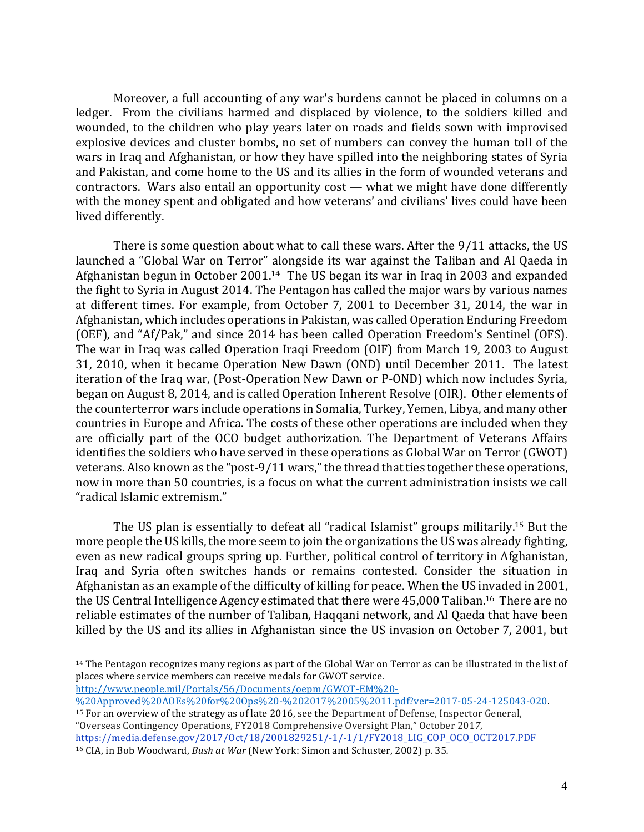Moreover, a full accounting of any war's burdens cannot be placed in columns on a ledger. From the civilians harmed and displaced by violence, to the soldiers killed and wounded, to the children who play years later on roads and fields sown with improvised explosive devices and cluster bombs, no set of numbers can convey the human toll of the wars in Iraq and Afghanistan, or how they have spilled into the neighboring states of Syria and Pakistan, and come home to the US and its allies in the form of wounded veterans and contractors. Wars also entail an opportunity cost — what we might have done differently with the money spent and obligated and how veterans' and civilians' lives could have been lived differently.

There is some question about what to call these wars. After the  $9/11$  attacks, the US launched a "Global War on Terror" alongside its war against the Taliban and Al Qaeda in Afghanistan begun in October  $2001<sup>14</sup>$  The US began its war in Iraq in 2003 and expanded the fight to Syria in August 2014. The Pentagon has called the major wars by various names at different times. For example, from October 7, 2001 to December 31, 2014, the war in Afghanistan, which includes operations in Pakistan, was called Operation Enduring Freedom (OEF), and "Af/Pak," and since 2014 has been called Operation Freedom's Sentinel (OFS). The war in Iraq was called Operation Iraqi Freedom (OIF) from March 19, 2003 to August 31, 2010, when it became Operation New Dawn (OND) until December 2011. The latest iteration of the Iraq war, (Post-Operation New Dawn or P-OND) which now includes Syria, began on August 8, 2014, and is called Operation Inherent Resolve (OIR). Other elements of the counterterror wars include operations in Somalia, Turkey, Yemen, Libya, and many other countries in Europe and Africa. The costs of these other operations are included when they are officially part of the OCO budget authorization. The Department of Veterans Affairs identifies the soldiers who have served in these operations as Global War on Terror (GWOT) veterans. Also known as the "post-9/11 wars," the thread that ties together these operations, now in more than 50 countries, is a focus on what the current administration insists we call "radical Islamic extremism." 

The US plan is essentially to defeat all "radical Islamist" groups militarily.<sup>15</sup> But the more people the US kills, the more seem to join the organizations the US was already fighting, even as new radical groups spring up. Further, political control of territory in Afghanistan, Iraq and Syria often switches hands or remains contested. Consider the situation in Afghanistan as an example of the difficulty of killing for peace. When the US invaded in 2001, the US Central Intelligence Agency estimated that there were 45,000 Taliban.<sup>16</sup> There are no reliable estimates of the number of Taliban, Haqqani network, and Al Qaeda that have been killed by the US and its allies in Afghanistan since the US invasion on October 7, 2001, but

http://www.people.mil/Portals/56/Documents/oepm/GWOT-EM%20-

 $\overline{a}$ 

 $15$  For an overview of the strategy as of late 2016, see the Department of Defense, Inspector General, "Overseas Contingency Operations, FY2018 Comprehensive Oversight Plan," October 201*7*, https://media.defense.gov/2017/Oct/18/2001829251/-1/-1/1/FY2018\_LIG\_COP\_OCO\_OCT2017.PDF

 $14$  The Pentagon recognizes many regions as part of the Global War on Terror as can be illustrated in the list of places where service members can receive medals for GWOT service.

<sup>%20</sup>Approved%20AOEs%20for%20Ops%20-%202017%2005%2011.pdf?ver=2017-05-24-125043-020.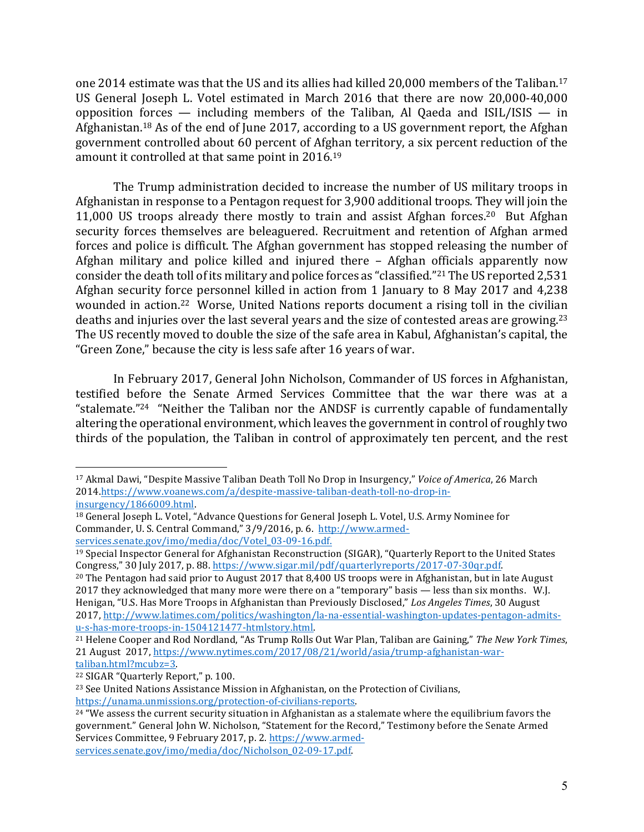one 2014 estimate was that the US and its allies had killed 20,000 members of the Taliban.<sup>17</sup> US General Joseph L. Votel estimated in March 2016 that there are now 20,000-40,000 opposition forces — including members of the Taliban, Al Qaeda and  $ISIL/ISIS - in$ Afghanistan.<sup>18</sup> As of the end of June 2017, according to a US government report, the Afghan government controlled about 60 percent of Afghan territory, a six percent reduction of the amount it controlled at that same point in 2016.<sup>19</sup>

The Trump administration decided to increase the number of US military troops in Afghanistan in response to a Pentagon request for 3,900 additional troops. They will join the 11,000 US troops already there mostly to train and assist Afghan forces.<sup>20</sup> But Afghan security forces themselves are beleaguered. Recruitment and retention of Afghan armed forces and police is difficult. The Afghan government has stopped releasing the number of Afghan military and police killed and injured there  $-$  Afghan officials apparently now consider the death toll of its military and police forces as "classified."<sup>21</sup> The US reported 2,531 Afghan security force personnel killed in action from 1 January to 8 May 2017 and 4.238 wounded in action.<sup>22</sup> Worse, United Nations reports document a rising toll in the civilian deaths and injuries over the last several years and the size of contested areas are growing.<sup>23</sup> The US recently moved to double the size of the safe area in Kabul, Afghanistan's capital, the "Green Zone," because the city is less safe after 16 years of war.

In February 2017, General John Nicholson, Commander of US forces in Afghanistan, testified before the Senate Armed Services Committee that the war there was at a "stalemate."<sup>24</sup> "Neither the Taliban nor the ANDSF is currently capable of fundamentally altering the operational environment, which leaves the government in control of roughly two thirds of the population, the Taliban in control of approximately ten percent, and the rest

<sup>20</sup> The Pentagon had said prior to August 2017 that 8,400 US troops were in Afghanistan, but in late August 2017 they acknowledged that many more were there on a "temporary" basis — less than six months. W.J. Henigan, "U.S. Has More Troops in Afghanistan than Previously Disclosed," *Los Angeles Times*, 30 August 2017, http://www.latimes.com/politics/washington/la-na-essential-washington-updates-pentagon-admitsu-s-has-more-troops-in-1504121477-htmlstory.html. 

<sup>22</sup> SIGAR "Quarterly Report," p. 100.

<sup>&</sup>lt;sup>17</sup> Akmal Dawi, "Despite Massive Taliban Death Toll No Drop in Insurgency," *Voice of America*, 26 March 2014.https://www.voanews.com/a/despite-massive-taliban-death-toll-no-drop-ininsurgency/1866009.html. 

<sup>&</sup>lt;sup>18</sup> General Joseph L. Votel, "Advance Questions for General Joseph L. Votel, U.S. Army Nominee for Commander, U. S. Central Command," 3/9/2016, p. 6. http://www.armedservices.senate.gov/imo/media/doc/Votel\_03-09-16.pdf.

<sup>&</sup>lt;sup>19</sup> Special Inspector General for Afghanistan Reconstruction (SIGAR), "Quarterly Report to the United States Congress," 30 July 2017, p. 88. https://www.sigar.mil/pdf/quarterlyreports/2017-07-30qr.pdf.

<sup>&</sup>lt;sup>21</sup> Helene Cooper and Rod Nordland, "As Trump Rolls Out War Plan, Taliban are Gaining," *The New York Times*, 21 August 2017, https://www.nytimes.com/2017/08/21/world/asia/trump-afghanistan-wartaliban.html?mcubz=3. 

<sup>&</sup>lt;sup>23</sup> See United Nations Assistance Mission in Afghanistan, on the Protection of Civilians, https://unama.unmissions.org/protection-of-civilians-reports. 

 $24$  "We assess the current security situation in Afghanistan as a stalemate where the equilibrium favors the government." General John W. Nicholson, "Statement for the Record," Testimony before the Senate Armed Services Committee, 9 February 2017, p. 2. https://www.armed-

services.senate.gov/imo/media/doc/Nicholson\_02-09-17.pdf.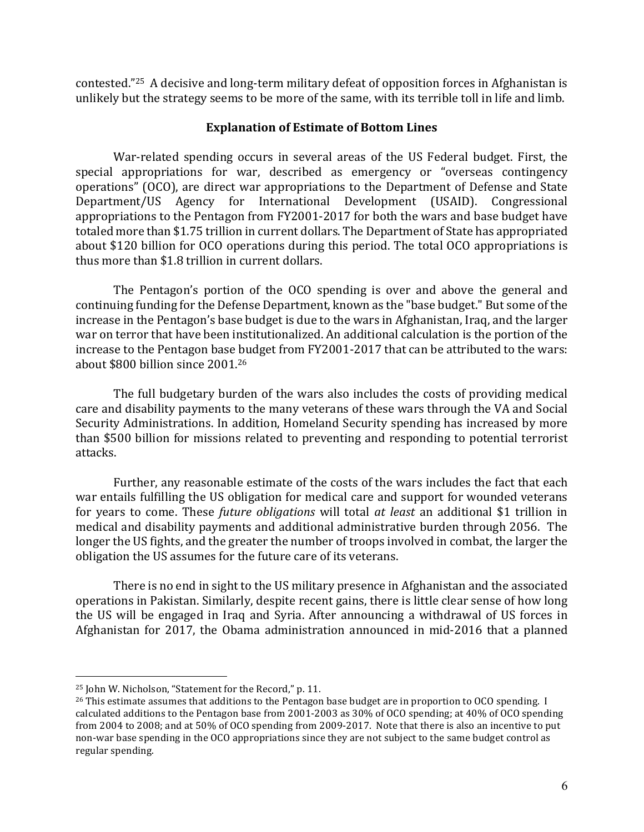contested."<sup>25</sup> A decisive and long-term military defeat of opposition forces in Afghanistan is unlikely but the strategy seems to be more of the same, with its terrible toll in life and limb.

## **Explanation of Estimate of Bottom Lines**

War-related spending occurs in several areas of the US Federal budget. First, the special appropriations for war, described as emergency or "overseas contingency operations" (OCO), are direct war appropriations to the Department of Defense and State Department/US Agency for International Development (USAID). Congressional appropriations to the Pentagon from FY2001-2017 for both the wars and base budget have totaled more than \$1.75 trillion in current dollars. The Department of State has appropriated about \$120 billion for OCO operations during this period. The total OCO appropriations is thus more than \$1.8 trillion in current dollars.

The Pentagon's portion of the OCO spending is over and above the general and continuing funding for the Defense Department, known as the "base budget." But some of the increase in the Pentagon's base budget is due to the wars in Afghanistan, Iraq, and the larger war on terror that have been institutionalized. An additional calculation is the portion of the increase to the Pentagon base budget from FY2001-2017 that can be attributed to the wars: about \$800 billion since 2001.<sup>26</sup>

The full budgetary burden of the wars also includes the costs of providing medical care and disability payments to the many veterans of these wars through the VA and Social Security Administrations. In addition, Homeland Security spending has increased by more than \$500 billion for missions related to preventing and responding to potential terrorist attacks. 

Further, any reasonable estimate of the costs of the wars includes the fact that each war entails fulfilling the US obligation for medical care and support for wounded veterans for years to come. These *future obligations* will total *at least* an additional \$1 trillion in medical and disability payments and additional administrative burden through 2056. The longer the US fights, and the greater the number of troops involved in combat, the larger the obligation the US assumes for the future care of its veterans.

There is no end in sight to the US military presence in Afghanistan and the associated operations in Pakistan. Similarly, despite recent gains, there is little clear sense of how long the US will be engaged in Iraq and Syria. After announcing a withdrawal of US forces in Afghanistan for 2017, the Obama administration announced in mid-2016 that a planned

<sup>&</sup>lt;sup>25</sup> John W. Nicholson, "Statement for the Record," p. 11.

 $^{26}$  This estimate assumes that additions to the Pentagon base budget are in proportion to OCO spending. I calculated additions to the Pentagon base from 2001-2003 as  $30\%$  of OCO spending; at 40% of OCO spending from 2004 to 2008; and at 50% of OCO spending from 2009-2017. Note that there is also an incentive to put non-war base spending in the OCO appropriations since they are not subject to the same budget control as regular spending.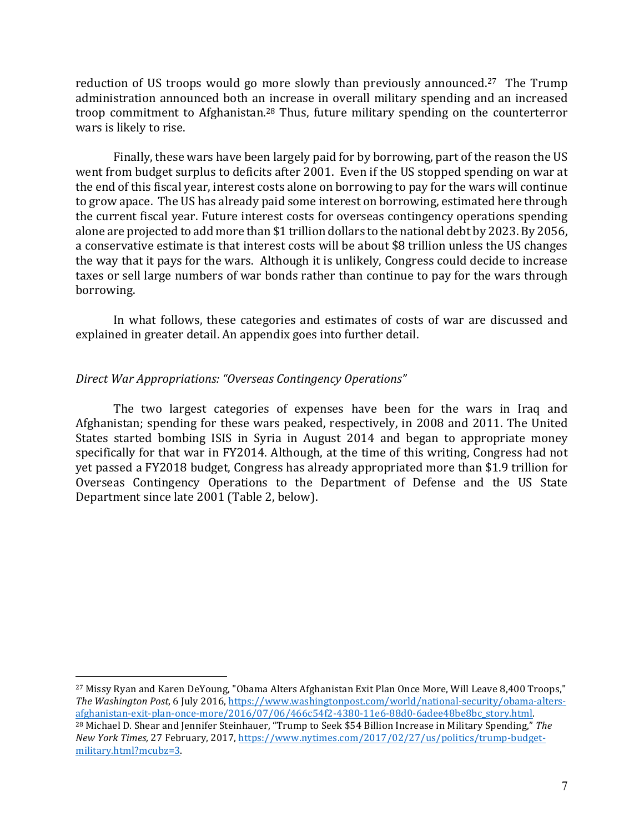reduction of US troops would go more slowly than previously announced.<sup>27</sup> The Trump administration announced both an increase in overall military spending and an increased troop commitment to Afghanistan.<sup>28</sup> Thus, future military spending on the counterterror wars is likely to rise.

Finally, these wars have been largely paid for by borrowing, part of the reason the US went from budget surplus to deficits after 2001. Even if the US stopped spending on war at the end of this fiscal year, interest costs alone on borrowing to pay for the wars will continue to grow apace. The US has already paid some interest on borrowing, estimated here through the current fiscal year. Future interest costs for overseas contingency operations spending alone are projected to add more than \$1 trillion dollars to the national debt by 2023. By 2056, a conservative estimate is that interest costs will be about \$8 trillion unless the US changes the way that it pays for the wars. Although it is unlikely, Congress could decide to increase taxes or sell large numbers of war bonds rather than continue to pay for the wars through borrowing.

In what follows, these categories and estimates of costs of war are discussed and explained in greater detail. An appendix goes into further detail.

#### *Direct War Appropriations: "Overseas Contingency Operations"*

 $\overline{a}$ 

The two largest categories of expenses have been for the wars in Iraq and Afghanistan; spending for these wars peaked, respectively, in 2008 and 2011. The United States started bombing ISIS in Syria in August 2014 and began to appropriate money specifically for that war in FY2014. Although, at the time of this writing, Congress had not yet passed a FY2018 budget, Congress has already appropriated more than \$1.9 trillion for Overseas Contingency Operations to the Department of Defense and the US State Department since late 2001 (Table 2, below).

<sup>&</sup>lt;sup>27</sup> Missy Ryan and Karen DeYoung, "Obama Alters Afghanistan Exit Plan Once More, Will Leave 8,400 Troops," *The Washington Post*, 6 July 2016, https://www.washingtonpost.com/world/national-security/obama-altersafghanistan-exit-plan-once-more/2016/07/06/466c54f2-4380-11e6-88d0-6adee48be8bc\_story.html. <sup>28</sup> Michael D. Shear and Jennifer Steinhauer, "Trump to Seek \$54 Billion Increase in Military Spending," The *New York Times,* 27 February, 2017, https://www.nytimes.com/2017/02/27/us/politics/trump-budgetmilitary.html?mcubz=3.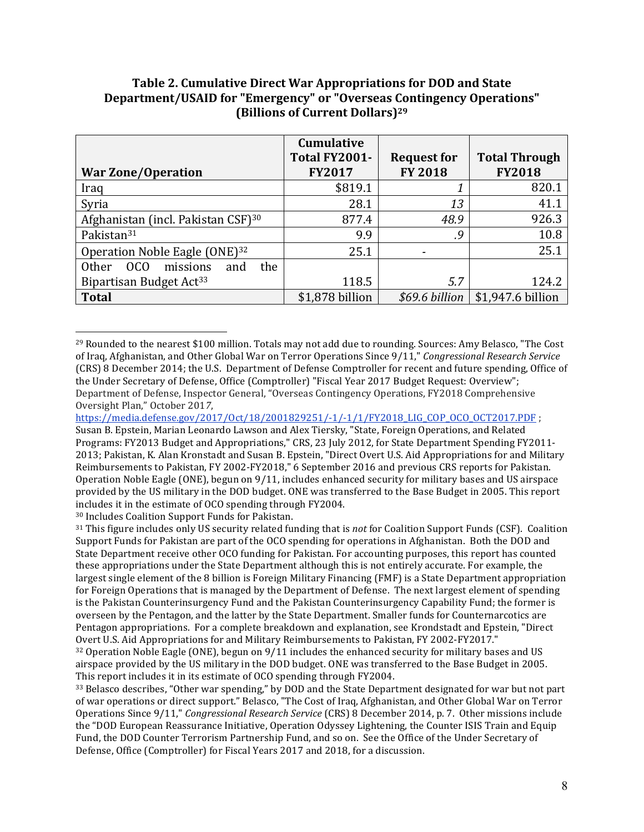| Table 2. Cumulative Direct War Appropriations for DOD and State       |
|-----------------------------------------------------------------------|
| Department/USAID for "Emergency" or "Overseas Contingency Operations" |
| (Billions of Current Dollars) <sup>29</sup>                           |

|                                                                       | <b>Cumulative</b> |                    |                      |
|-----------------------------------------------------------------------|-------------------|--------------------|----------------------|
|                                                                       | Total FY2001-     | <b>Request for</b> | <b>Total Through</b> |
| <b>War Zone/Operation</b>                                             | <b>FY2017</b>     | <b>FY 2018</b>     | <b>FY2018</b>        |
| Iraq                                                                  | \$819.1           |                    | 820.1                |
| Syria                                                                 | 28.1              | 13                 | 41.1                 |
| Afghanistan (incl. Pakistan CSF) <sup>30</sup>                        | 877.4             | 48.9               | 926.3                |
| Pakistan <sup>31</sup>                                                | 9.9               | .9                 | 10.8                 |
| Operation Noble Eagle (ONE) <sup>32</sup>                             | 25.1              |                    | 25.1                 |
| missions<br><sub>0</sub> C <sub>0</sub><br><b>Other</b><br>the<br>and |                   |                    |                      |
| Bipartisan Budget Act <sup>33</sup>                                   | 118.5             | 5.7                | 124.2                |
| <b>Total</b>                                                          | \$1,878 billion   | \$69.6 billion     | \$1,947.6 billion    |

 $^{29}$  Rounded to the nearest \$100 million. Totals may not add due to rounding. Sources: Amy Belasco, "The Cost of Iraq, Afghanistan, and Other Global War on Terror Operations Since 9/11," *Congressional Research Service* (CRS) 8 December 2014; the U.S. Department of Defense Comptroller for recent and future spending, Office of the Under Secretary of Defense, Office (Comptroller) "Fiscal Year 2017 Budget Request: Overview"; Department of Defense, Inspector General, "Overseas Contingency Operations, FY2018 Comprehensive Oversight Plan," October 2017,

<sup>30</sup> Includes Coalition Support Funds for Pakistan.

 $\overline{a}$ 

<sup>31</sup> This figure includes only US security related funding that is *not* for Coalition Support Funds (CSF). Coalition Support Funds for Pakistan are part of the OCO spending for operations in Afghanistan. Both the DOD and State Department receive other OCO funding for Pakistan. For accounting purposes, this report has counted these appropriations under the State Department although this is not entirely accurate. For example, the largest single element of the 8 billion is Foreign Military Financing (FMF) is a State Department appropriation for Foreign Operations that is managed by the Department of Defense. The next largest element of spending is the Pakistan Counterinsurgency Fund and the Pakistan Counterinsurgency Capability Fund; the former is overseen by the Pentagon, and the latter by the State Department. Smaller funds for Counternarcotics are Pentagon appropriations. For a complete breakdown and explanation, see Krondstadt and Epstein, "Direct Overt U.S. Aid Appropriations for and Military Reimbursements to Pakistan, FY 2002-FY2017."

 $32$  Operation Noble Eagle (ONE), begun on 9/11 includes the enhanced security for military bases and US airspace provided by the US military in the DOD budget. ONE was transferred to the Base Budget in 2005. This report includes it in its estimate of OCO spending through FY2004.

33 Belasco describes, "Other war spending," by DOD and the State Department designated for war but not part of war operations or direct support." Belasco, "The Cost of Iraq, Afghanistan, and Other Global War on Terror Operations Since  $9/11$ ," *Congressional Research Service* (CRS) 8 December 2014, p. 7. Other missions include the "DOD European Reassurance Initiative, Operation Odyssey Lightening, the Counter ISIS Train and Equip Fund, the DOD Counter Terrorism Partnership Fund, and so on. See the Office of the Under Secretary of Defense, Office (Comptroller) for Fiscal Years 2017 and 2018, for a discussion.

https://media.defense.gov/2017/Oct/18/2001829251/-1/-1/1/FY2018\_LIG\_COP\_OCO\_OCT2017.PDF ;

Susan B. Epstein, Marian Leonardo Lawson and Alex Tiersky, "State, Foreign Operations, and Related Programs: FY2013 Budget and Appropriations," CRS, 23 July 2012, for State Department Spending FY2011-2013; Pakistan, K. Alan Kronstadt and Susan B. Epstein, "Direct Overt U.S. Aid Appropriations for and Military Reimbursements to Pakistan, FY 2002-FY2018," 6 September 2016 and previous CRS reports for Pakistan. Operation Noble Eagle  $(ONE)$ , begun on  $9/11$ , includes enhanced security for military bases and US airspace provided by the US military in the DOD budget. ONE was transferred to the Base Budget in 2005. This report includes it in the estimate of OCO spending through FY2004.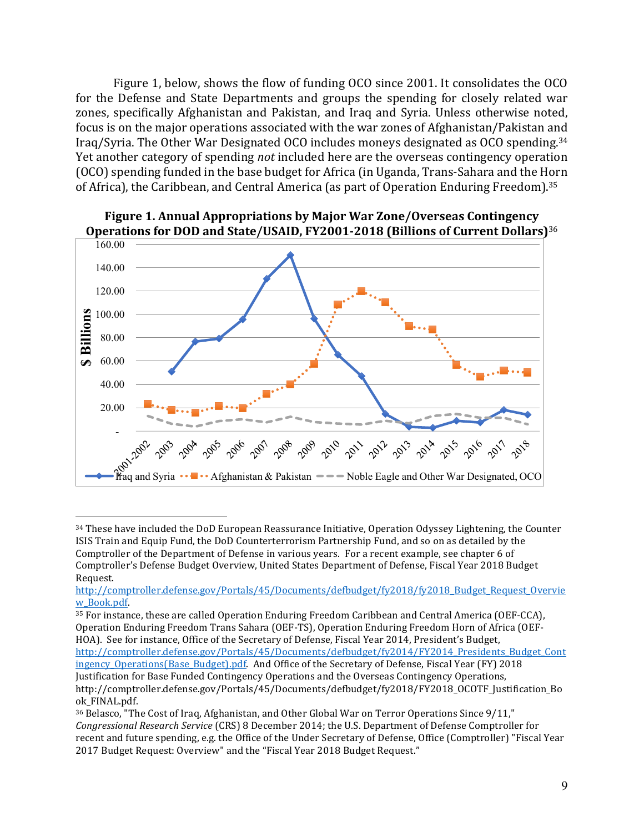Figure 1, below, shows the flow of funding OCO since 2001. It consolidates the OCO for the Defense and State Departments and groups the spending for closely related war zones, specifically Afghanistan and Pakistan, and Iraq and Syria. Unless otherwise noted, focus is on the major operations associated with the war zones of Afghanistan/Pakistan and Iraq/Syria. The Other War Designated OCO includes moneys designated as OCO spending.<sup>34</sup> Yet another category of spending *not* included here are the overseas contingency operation (OCO) spending funded in the base budget for Africa (in Uganda, Trans-Sahara and the Horn of Africa), the Caribbean, and Central America (as part of Operation Enduring Freedom).<sup>35</sup>



**Figure 1. Annual Appropriations by Major War Zone/Overseas Contingency Operations for DOD and State/USAID, FY2001-2018 (Billions of Current Dollars)**<sup>36</sup>

 $\overline{a}$ 

35 For instance, these are called Operation Enduring Freedom Caribbean and Central America (OEF-CCA), Operation Enduring Freedom Trans Sahara (OEF-TS), Operation Enduring Freedom Horn of Africa (OEF-HOA). See for instance, Office of the Secretary of Defense, Fiscal Year 2014, President's Budget, http://comptroller.defense.gov/Portals/45/Documents/defbudget/fy2014/FY2014\_Presidents\_Budget\_Cont ingency\_Operations(Base\_Budget).pdf. And Office of the Secretary of Defense, Fiscal Year (FY) 2018 Justification for Base Funded Contingency Operations and the Overseas Contingency Operations, http://comptroller.defense.gov/Portals/45/Documents/defbudget/fy2018/FY2018\_OCOTF\_Justification\_Bo ok\_FINAL.pdf. 

<sup>34</sup> These have included the DoD European Reassurance Initiative, Operation Odyssey Lightening, the Counter ISIS Train and Equip Fund, the DoD Counterterrorism Partnership Fund, and so on as detailed by the Comptroller of the Department of Defense in various years. For a recent example, see chapter 6 of Comptroller's Defense Budget Overview, United States Department of Defense, Fiscal Year 2018 Budget Request. 

http://comptroller.defense.gov/Portals/45/Documents/defbudget/fy2018/fy2018\_Budget\_Request\_Overvie w\_Book.pdf. 

<sup>&</sup>lt;sup>36</sup> Belasco, "The Cost of Iraq, Afghanistan, and Other Global War on Terror Operations Since 9/11," Congressional Research Service (CRS) 8 December 2014; the U.S. Department of Defense Comptroller for recent and future spending, e.g. the Office of the Under Secretary of Defense, Office (Comptroller) "Fiscal Year 2017 Budget Request: Overview" and the "Fiscal Year 2018 Budget Request."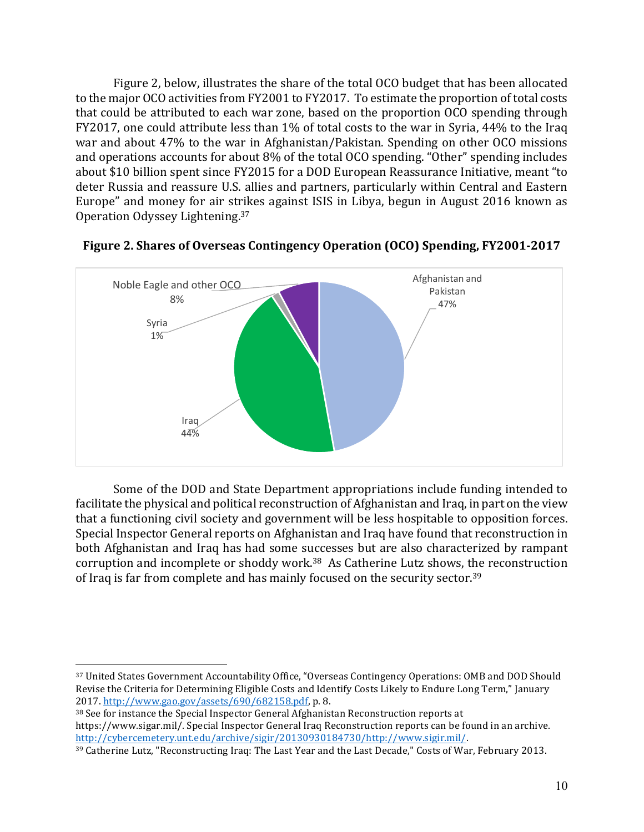Figure 2, below, illustrates the share of the total OCO budget that has been allocated to the major OCO activities from FY2001 to FY2017. To estimate the proportion of total costs that could be attributed to each war zone, based on the proportion OCO spending through FY2017, one could attribute less than  $1\%$  of total costs to the war in Syria, 44% to the Iraq war and about 47% to the war in Afghanistan/Pakistan. Spending on other OCO missions and operations accounts for about 8% of the total OCO spending. "Other" spending includes about \$10 billion spent since FY2015 for a DOD European Reassurance Initiative, meant "to deter Russia and reassure U.S. allies and partners, particularly within Central and Eastern Europe" and money for air strikes against ISIS in Libya, begun in August 2016 known as Operation Odyssey Lightening.<sup>37</sup>



**Figure 2. Shares of Overseas Contingency Operation (OCO) Spending, FY2001-2017** 

Some of the DOD and State Department appropriations include funding intended to facilitate the physical and political reconstruction of Afghanistan and Iraq, in part on the view that a functioning civil society and government will be less hospitable to opposition forces. Special Inspector General reports on Afghanistan and Iraq have found that reconstruction in both Afghanistan and Iraq has had some successes but are also characterized by rampant corruption and incomplete or shoddy work.<sup>38</sup> As Catherine Lutz shows, the reconstruction of Iraq is far from complete and has mainly focused on the security sector.<sup>39</sup>

 $\overline{a}$ 37 United States Government Accountability Office, "Overseas Contingency Operations: OMB and DOD Should Revise the Criteria for Determining Eligible Costs and Identify Costs Likely to Endure Long Term," January 2017. http://www.gao.gov/assets/690/682158.pdf, p. 8.

<sup>38</sup> See for instance the Special Inspector General Afghanistan Reconstruction reports at https://www.sigar.mil/. Special Inspector General Iraq Reconstruction reports can be found in an archive. http://cybercemetery.unt.edu/archive/sigir/20130930184730/http://www.sigir.mil/. 

<sup>&</sup>lt;sup>39</sup> Catherine Lutz, "Reconstructing Iraq: The Last Year and the Last Decade," Costs of War, February 2013.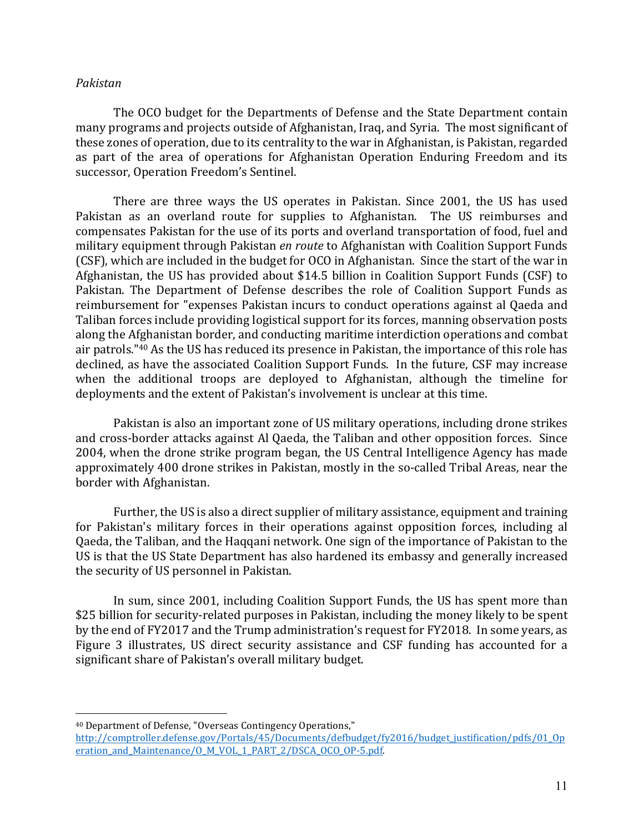#### *Pakistan*

The OCO budget for the Departments of Defense and the State Department contain many programs and projects outside of Afghanistan, Iraq, and Syria. The most significant of these zones of operation, due to its centrality to the war in Afghanistan, is Pakistan, regarded as part of the area of operations for Afghanistan Operation Enduring Freedom and its successor, Operation Freedom's Sentinel.

There are three ways the US operates in Pakistan. Since 2001, the US has used Pakistan as an overland route for supplies to Afghanistan. The US reimburses and compensates Pakistan for the use of its ports and overland transportation of food, fuel and military equipment through Pakistan *en route* to Afghanistan with Coalition Support Funds (CSF), which are included in the budget for OCO in Afghanistan. Since the start of the war in Afghanistan, the US has provided about \$14.5 billion in Coalition Support Funds (CSF) to Pakistan. The Department of Defense describes the role of Coalition Support Funds as reimbursement for "expenses Pakistan incurs to conduct operations against al Qaeda and Taliban forces include providing logistical support for its forces, manning observation posts along the Afghanistan border, and conducting maritime interdiction operations and combat air patrols."<sup>40</sup> As the US has reduced its presence in Pakistan, the importance of this role has declined, as have the associated Coalition Support Funds. In the future, CSF may increase when the additional troops are deployed to Afghanistan, although the timeline for deployments and the extent of Pakistan's involvement is unclear at this time.

Pakistan is also an important zone of US military operations, including drone strikes and cross-border attacks against Al Qaeda, the Taliban and other opposition forces. Since 2004, when the drone strike program began, the US Central Intelligence Agency has made approximately 400 drone strikes in Pakistan, mostly in the so-called Tribal Areas, near the border with Afghanistan.

Further, the US is also a direct supplier of military assistance, equipment and training for Pakistan's military forces in their operations against opposition forces, including al Qaeda, the Taliban, and the Haqqani network. One sign of the importance of Pakistan to the US is that the US State Department has also hardened its embassy and generally increased the security of US personnel in Pakistan.

In sum, since 2001, including Coalition Support Funds, the US has spent more than \$25 billion for security-related purposes in Pakistan, including the money likely to be spent by the end of FY2017 and the Trump administration's request for FY2018. In some years, as Figure 3 illustrates, US direct security assistance and CSF funding has accounted for a significant share of Pakistan's overall military budget.

 $\overline{a}$ <sup>40</sup> Department of Defense, "Overseas Contingency Operations,"

http://comptroller.defense.gov/Portals/45/Documents/defbudget/fy2016/budget\_justification/pdfs/01\_Op eration\_and\_Maintenance/O\_M\_VOL\_1\_PART\_2/DSCA\_OCO\_OP-5.pdf.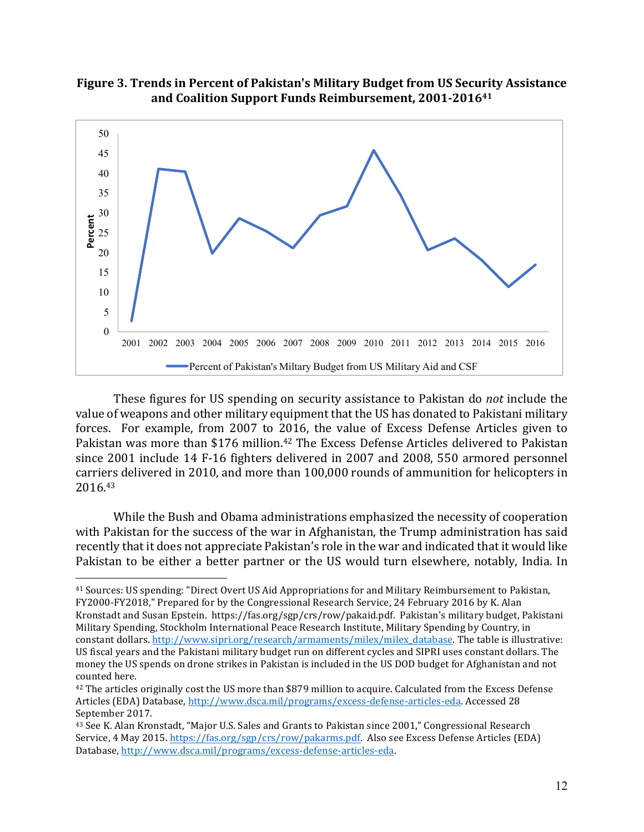**Figure 3. Trends in Percent of Pakistan's Military Budget from US Security Assistance** and Coalition Support Funds Reimbursement, 2001-2016<sup>41</sup>



These figures for US spending on security assistance to Pakistan do *not* include the value of weapons and other military equipment that the US has donated to Pakistani military forces. For example, from 2007 to 2016, the value of Excess Defense Articles given to Pakistan was more than \$176 million.<sup>42</sup> The Excess Defense Articles delivered to Pakistan since 2001 include 14 F-16 fighters delivered in 2007 and 2008, 550 armored personnel carriers delivered in 2010, and more than 100,000 rounds of ammunition for helicopters in 2016. 43

While the Bush and Obama administrations emphasized the necessity of cooperation with Pakistan for the success of the war in Afghanistan, the Trump administration has said recently that it does not appreciate Pakistan's role in the war and indicated that it would like Pakistan to be either a better partner or the US would turn elsewhere, notably, India. In

<sup>&</sup>lt;sup>41</sup> Sources: US spending: "Direct Overt US Aid Appropriations for and Military Reimbursement to Pakistan, FY2000-FY2018," Prepared for by the Congressional Research Service, 24 February 2016 by K. Alan Kronstadt and Susan Epstein. https://fas.org/sgp/crs/row/pakaid.pdf. Pakistan's military budget, Pakistani Military Spending, Stockholm International Peace Research Institute, Military Spending by Country, in constant dollars. http://www.sipri.org/research/armaments/milex/milex\_database. The table is illustrative: US fiscal years and the Pakistani military budget run on different cycles and SIPRI uses constant dollars. The money the US spends on drone strikes in Pakistan is included in the US DOD budget for Afghanistan and not counted here.

<sup>&</sup>lt;sup>42</sup> The articles originally cost the US more than \$879 million to acquire. Calculated from the Excess Defense Articles (EDA) Database, http://www.dsca.mil/programs/excess-defense-articles-eda. Accessed 28 September 2017.

<sup>&</sup>lt;sup>43</sup> See K. Alan Kronstadt, "Major U.S. Sales and Grants to Pakistan since 2001," Congressional Research Service, 4 May 2015. https://fas.org/sgp/crs/row/pakarms.pdf. Also see Excess Defense Articles (EDA) Database, http://www.dsca.mil/programs/excess-defense-articles-eda.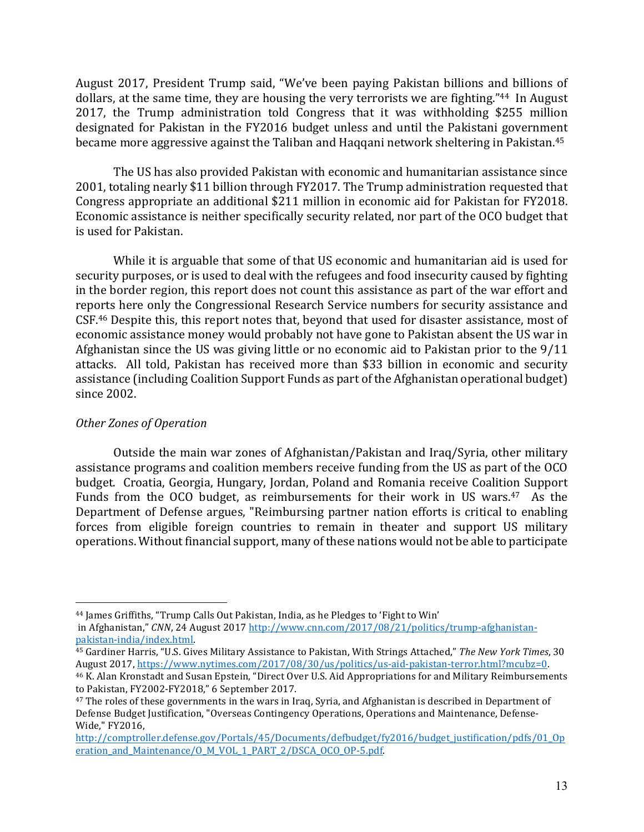August 2017, President Trump said, "We've been paying Pakistan billions and billions of dollars, at the same time, they are housing the very terrorists we are fighting."<sup>44</sup> In August 2017, the Trump administration told Congress that it was withholding \$255 million designated for Pakistan in the FY2016 budget unless and until the Pakistani government became more aggressive against the Taliban and Haqqani network sheltering in Pakistan.<sup>45</sup>

The US has also provided Pakistan with economic and humanitarian assistance since 2001, totaling nearly \$11 billion through FY2017. The Trump administration requested that Congress appropriate an additional \$211 million in economic aid for Pakistan for FY2018. Economic assistance is neither specifically security related, nor part of the OCO budget that is used for Pakistan.

While it is arguable that some of that US economic and humanitarian aid is used for security purposes, or is used to deal with the refugees and food insecurity caused by fighting in the border region, this report does not count this assistance as part of the war effort and reports here only the Congressional Research Service numbers for security assistance and CSF.<sup>46</sup> Despite this, this report notes that, beyond that used for disaster assistance, most of economic assistance money would probably not have gone to Pakistan absent the US war in Afghanistan since the US was giving little or no economic aid to Pakistan prior to the  $9/11$ attacks. All told, Pakistan has received more than \$33 billion in economic and security assistance (including Coalition Support Funds as part of the Afghanistan operational budget) since 2002.

# *Other Zones of Operation*

Outside the main war zones of Afghanistan/Pakistan and Iraq/Syria, other military assistance programs and coalition members receive funding from the US as part of the OCO budget. Croatia, Georgia, Hungary, Jordan, Poland and Romania receive Coalition Support Funds from the OCO budget, as reimbursements for their work in US wars. $47$  As the Department of Defense argues, "Reimbursing partner nation efforts is critical to enabling forces from eligible foreign countries to remain in theater and support US military operations. Without financial support, many of these nations would not be able to participate

<sup>&</sup>lt;sup>44</sup> James Griffiths, "Trump Calls Out Pakistan, India, as he Pledges to 'Fight to Win' in Afghanistan," CNN, 24 August 2017 http://www.cnn.com/2017/08/21/politics/trump-afghanistan-

pakistan-india/index.html. 

<sup>&</sup>lt;sup>45</sup> Gardiner Harris, "U.S. Gives Military Assistance to Pakistan, With Strings Attached," The New York Times, 30 August 2017, https://www.nytimes.com/2017/08/30/us/politics/us-aid-pakistan-terror.html?mcubz=0.

<sup>&</sup>lt;sup>46</sup> K. Alan Kronstadt and Susan Epstein, "Direct Over U.S. Aid Appropriations for and Military Reimbursements to Pakistan, FY2002-FY2018," 6 September 2017.

 $47$  The roles of these governments in the wars in Iraq, Syria, and Afghanistan is described in Department of Defense Budget Justification, "Overseas Contingency Operations, Operations and Maintenance, Defense-Wide," FY2016,

http://comptroller.defense.gov/Portals/45/Documents/defbudget/fy2016/budget\_justification/pdfs/01\_Op eration\_and\_Maintenance/O\_M\_VOL\_1\_PART\_2/DSCA\_OCO\_OP-5.pdf.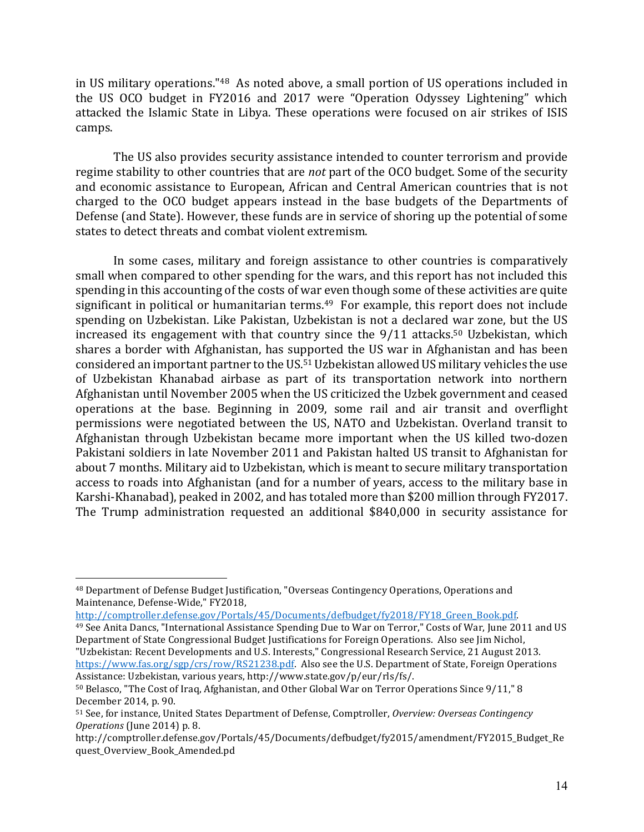in US military operations."<sup>48</sup> As noted above, a small portion of US operations included in the US OCO budget in FY2016 and 2017 were "Operation Odyssey Lightening" which attacked the Islamic State in Libya. These operations were focused on air strikes of ISIS camps.

The US also provides security assistance intended to counter terrorism and provide regime stability to other countries that are *not* part of the OCO budget. Some of the security and economic assistance to European, African and Central American countries that is not charged to the OCO budget appears instead in the base budgets of the Departments of Defense (and State). However, these funds are in service of shoring up the potential of some states to detect threats and combat violent extremism.

In some cases, military and foreign assistance to other countries is comparatively small when compared to other spending for the wars, and this report has not included this spending in this accounting of the costs of war even though some of these activities are quite significant in political or humanitarian terms.<sup>49</sup> For example, this report does not include spending on Uzbekistan. Like Pakistan, Uzbekistan is not a declared war zone, but the US increased its engagement with that country since the 9/11 attacks.<sup>50</sup> Uzbekistan, which shares a border with Afghanistan, has supported the US war in Afghanistan and has been considered an important partner to the US.<sup>51</sup> Uzbekistan allowed US military vehicles the use of Uzbekistan Khanabad airbase as part of its transportation network into northern Afghanistan until November 2005 when the US criticized the Uzbek government and ceased operations at the base. Beginning in 2009, some rail and air transit and overflight permissions were negotiated between the US, NATO and Uzbekistan. Overland transit to Afghanistan through Uzbekistan became more important when the US killed two-dozen Pakistani soldiers in late November 2011 and Pakistan halted US transit to Afghanistan for about 7 months. Military aid to Uzbekistan, which is meant to secure military transportation access to roads into Afghanistan (and for a number of years, access to the military base in Karshi-Khanabad), peaked in 2002, and has totaled more than \$200 million through FY2017. The Trump administration requested an additional \$840,000 in security assistance for

 $\overline{a}$ 

http://comptroller.defense.gov/Portals/45/Documents/defbudget/fy2018/FY18\_Green\_Book.pdf. 

"Uzbekistan: Recent Developments and U.S. Interests," Congressional Research Service, 21 August 2013. https://www.fas.org/sgp/crs/row/RS21238.pdf. Also see the U.S. Department of State, Foreign Operations Assistance: Uzbekistan, various years, http://www.state.gov/p/eur/rls/fs/.

<sup>48</sup> Department of Defense Budget Justification, "Overseas Contingency Operations, Operations and Maintenance, Defense-Wide," FY2018,

<sup>&</sup>lt;sup>49</sup> See Anita Dancs, "International Assistance Spending Due to War on Terror," Costs of War, June 2011 and US Department of State Congressional Budget Justifications for Foreign Operations. Also see Jim Nichol,

<sup>50</sup> Belasco, "The Cost of Iraq, Afghanistan, and Other Global War on Terror Operations Since 9/11," 8 December 2014, p. 90.

<sup>51</sup> See, for instance, United States Department of Defense, Comptroller, *Overview: Overseas Contingency Operations* (June 2014) p. 8.

http://comptroller.defense.gov/Portals/45/Documents/defbudget/fy2015/amendment/FY2015\_Budget\_Re quest\_Overview\_Book\_Amended.pd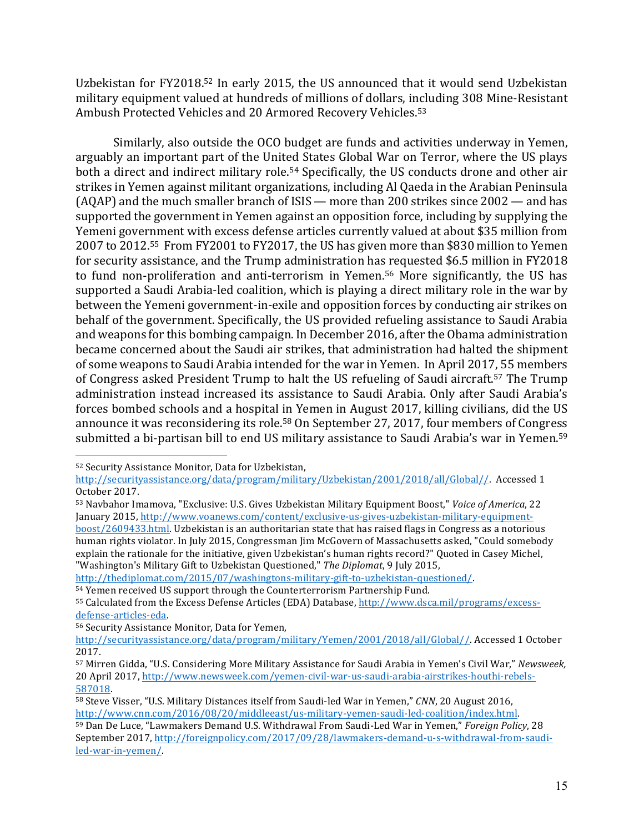Uzbekistan for FY2018.<sup>52</sup> In early 2015, the US announced that it would send Uzbekistan military equipment valued at hundreds of millions of dollars, including 308 Mine-Resistant Ambush Protected Vehicles and 20 Armored Recovery Vehicles.<sup>53</sup>

Similarly, also outside the OCO budget are funds and activities underway in Yemen, arguably an important part of the United States Global War on Terror, where the US plays both a direct and indirect military role.<sup>54</sup> Specifically, the US conducts drone and other air strikes in Yemen against militant organizations, including Al Qaeda in the Arabian Peninsula  $(AQAP)$  and the much smaller branch of ISIS — more than 200 strikes since  $2002 -$  and has supported the government in Yemen against an opposition force, including by supplying the Yemeni government with excess defense articles currently valued at about \$35 million from 2007 to 2012.<sup>55</sup> From FY2001 to FY2017, the US has given more than \$830 million to Yemen for security assistance, and the Trump administration has requested \$6.5 million in FY2018 to fund non-proliferation and anti-terrorism in Yemen.<sup>56</sup> More significantly, the US has supported a Saudi Arabia-led coalition, which is playing a direct military role in the war by between the Yemeni government-in-exile and opposition forces by conducting air strikes on behalf of the government. Specifically, the US provided refueling assistance to Saudi Arabia and weapons for this bombing campaign. In December 2016, after the Obama administration became concerned about the Saudi air strikes, that administration had halted the shipment of some weapons to Saudi Arabia intended for the war in Yemen. In April 2017, 55 members of Congress asked President Trump to halt the US refueling of Saudi aircraft.<sup>57</sup> The Trump administration instead increased its assistance to Saudi Arabia. Only after Saudi Arabia's forces bombed schools and a hospital in Yemen in August 2017, killing civilians, did the US announce it was reconsidering its role.<sup>58</sup> On September 27, 2017, four members of Congress submitted a bi-partisan bill to end US military assistance to Saudi Arabia's war in Yemen.<sup>59</sup>

 $\overline{a}$ 

http://thediplomat.com/2015/07/washingtons-military-gift-to-uzbekistan-questioned/.

<sup>52</sup> Security Assistance Monitor, Data for Uzbekistan,

http://securityassistance.org/data/program/military/Uzbekistan/2001/2018/all/Global//. Accessed 1 October 2017.

<sup>53</sup> Navbahor Imamova, "Exclusive: U.S. Gives Uzbekistan Military Equipment Boost," Voice of America, 22 January 2015, http://www.yoanews.com/content/exclusive-us-gives-uzbekistan-military-equipment-

boost/2609433.html. Uzbekistan is an authoritarian state that has raised flags in Congress as a notorious human rights violator. In July 2015, Congressman Jim McGovern of Massachusetts asked, "Could somebody explain the rationale for the initiative, given Uzbekistan's human rights record?" Quoted in Casey Michel, "Washington's Military Gift to Uzbekistan Questioned," The Diplomat, 9 July 2015,

<sup>54</sup> Yemen received US support through the Counterterrorism Partnership Fund.

<sup>55</sup> Calculated from the Excess Defense Articles (EDA) Database, http://www.dsca.mil/programs/excessdefense-articles-eda.

<sup>56</sup> Security Assistance Monitor, Data for Yemen,

http://securityassistance.org/data/program/military/Yemen/2001/2018/all/Global//. Accessed 1 October 2017.

<sup>57</sup> Mirren Gidda, "U.S. Considering More Military Assistance for Saudi Arabia in Yemen's Civil War," Newsweek, 20 April 2017, http://www.newsweek.com/yemen-civil-war-us-saudi-arabia-airstrikes-houthi-rebels-587018. 

<sup>58</sup> Steve Visser, "U.S. Military Distances itself from Saudi-led War in Yemen," *CNN*, 20 August 2016, http://www.cnn.com/2016/08/20/middleeast/us-military-yemen-saudi-led-coalition/index.html. 59 Dan De Luce, "Lawmakers Demand U.S. Withdrawal From Saudi-Led War in Yemen," *Foreign Policy*, 28 September 2017, http://foreignpolicy.com/2017/09/28/lawmakers-demand-u-s-withdrawal-from-saudiled-war-in-yemen/.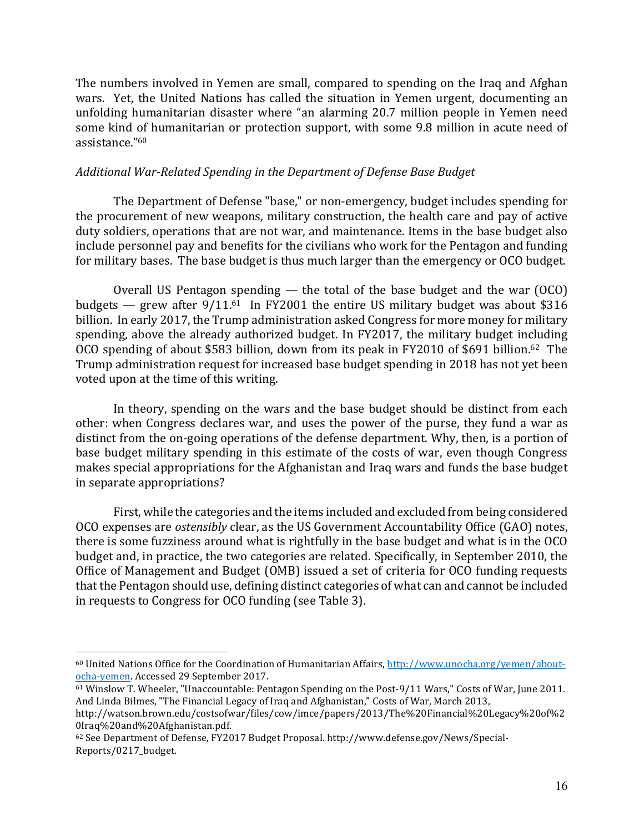The numbers involved in Yemen are small, compared to spending on the Iraq and Afghan wars. Yet, the United Nations has called the situation in Yemen urgent, documenting an unfolding humanitarian disaster where "an alarming 20.7 million people in Yemen need some kind of humanitarian or protection support, with some 9.8 million in acute need of assistance."60

# *Additional War-Related Spending in the Department of Defense Base Budget*

The Department of Defense "base," or non-emergency, budget includes spending for the procurement of new weapons, military construction, the health care and pay of active duty soldiers, operations that are not war, and maintenance. Items in the base budget also include personnel pay and benefits for the civilians who work for the Pentagon and funding for military bases. The base budget is thus much larger than the emergency or OCO budget.

Overall US Pentagon spending  $-$  the total of the base budget and the war (OCO) budgets — grew after  $9/11^{61}$  In FY2001 the entire US military budget was about \$316 billion. In early 2017, the Trump administration asked Congress for more money for military spending, above the already authorized budget. In FY2017, the military budget including OCO spending of about \$583 billion, down from its peak in FY2010 of \$691 billion.<sup>62</sup> The Trump administration request for increased base budget spending in 2018 has not yet been voted upon at the time of this writing.

In theory, spending on the wars and the base budget should be distinct from each other: when Congress declares war, and uses the power of the purse, they fund a war as distinct from the on-going operations of the defense department. Why, then, is a portion of base budget military spending in this estimate of the costs of war, even though Congress makes special appropriations for the Afghanistan and Iraq wars and funds the base budget in separate appropriations?

First, while the categories and the items included and excluded from being considered OCO expenses are *ostensibly* clear, as the US Government Accountability Office (GAO) notes, there is some fuzziness around what is rightfully in the base budget and what is in the OCO budget and, in practice, the two categories are related. Specifically, in September 2010, the Office of Management and Budget (OMB) issued a set of criteria for OCO funding requests that the Pentagon should use, defining distinct categories of what can and cannot be included in requests to Congress for OCO funding (see Table 3).

<sup>&</sup>lt;sup>60</sup> United Nations Office for the Coordination of Humanitarian Affairs, http://www.unocha.org/yemen/aboutocha-yemen. Accessed 29 September 2017.

<sup>&</sup>lt;sup>61</sup> Winslow T. Wheeler, "Unaccountable: Pentagon Spending on the Post-9/11 Wars," Costs of War, June 2011. And Linda Bilmes, "The Financial Legacy of Iraq and Afghanistan," Costs of War, March 2013,

http://watson.brown.edu/costsofwar/files/cow/imce/papers/2013/The%20Financial%20Legacy%20of%2 0Iraq%20and%20Afghanistan.pdf.

<sup>62</sup> See Department of Defense, FY2017 Budget Proposal. http://www.defense.gov/News/Special-Reports/0217\_budget.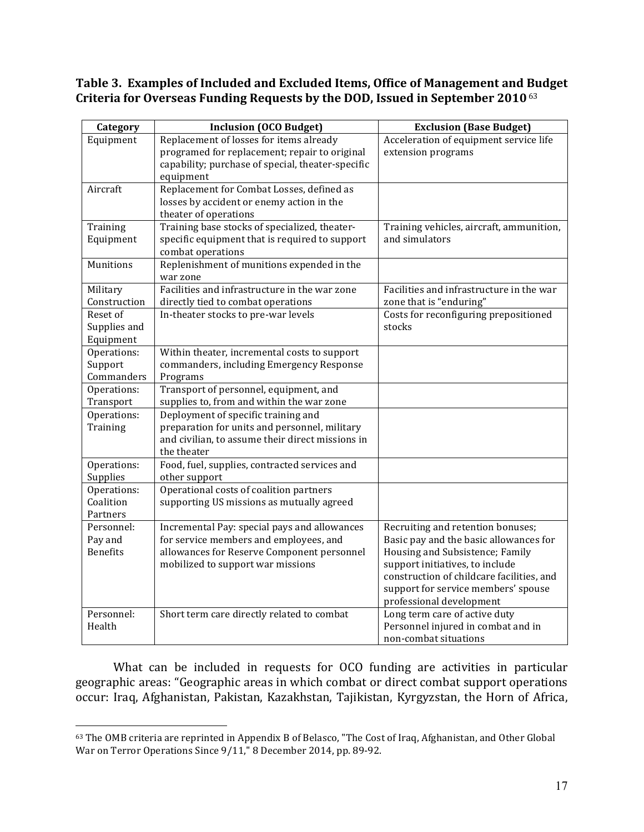# Table 3. Examples of Included and Excluded Items, Office of Management and Budget Criteria for Overseas Funding Requests by the DOD, Issued in September 2010<sup>63</sup>

| Category                                 | <b>Inclusion (OCO Budget)</b>                                                                                                                                             | <b>Exclusion (Base Budget)</b>                                                                                                                                                                                                                                    |
|------------------------------------------|---------------------------------------------------------------------------------------------------------------------------------------------------------------------------|-------------------------------------------------------------------------------------------------------------------------------------------------------------------------------------------------------------------------------------------------------------------|
| Equipment                                | Replacement of losses for items already<br>programed for replacement; repair to original<br>capability; purchase of special, theater-specific<br>equipment                | Acceleration of equipment service life<br>extension programs                                                                                                                                                                                                      |
| Aircraft                                 | Replacement for Combat Losses, defined as<br>losses by accident or enemy action in the<br>theater of operations                                                           |                                                                                                                                                                                                                                                                   |
| Training<br>Equipment                    | Training base stocks of specialized, theater-<br>specific equipment that is required to support<br>combat operations                                                      | Training vehicles, aircraft, ammunition,<br>and simulators                                                                                                                                                                                                        |
| Munitions                                | Replenishment of munitions expended in the<br>war zone                                                                                                                    |                                                                                                                                                                                                                                                                   |
| Military<br>Construction                 | Facilities and infrastructure in the war zone<br>directly tied to combat operations                                                                                       | Facilities and infrastructure in the war<br>zone that is "enduring"                                                                                                                                                                                               |
| Reset of<br>Supplies and<br>Equipment    | In-theater stocks to pre-war levels                                                                                                                                       | Costs for reconfiguring prepositioned<br>stocks                                                                                                                                                                                                                   |
| Operations:<br>Support<br>Commanders     | Within theater, incremental costs to support<br>commanders, including Emergency Response<br>Programs                                                                      |                                                                                                                                                                                                                                                                   |
| Operations:<br>Transport                 | Transport of personnel, equipment, and<br>supplies to, from and within the war zone                                                                                       |                                                                                                                                                                                                                                                                   |
| Operations:<br>Training                  | Deployment of specific training and<br>preparation for units and personnel, military<br>and civilian, to assume their direct missions in<br>the theater                   |                                                                                                                                                                                                                                                                   |
| Operations:<br>Supplies                  | Food, fuel, supplies, contracted services and<br>other support                                                                                                            |                                                                                                                                                                                                                                                                   |
| Operations:<br>Coalition<br>Partners     | Operational costs of coalition partners<br>supporting US missions as mutually agreed                                                                                      |                                                                                                                                                                                                                                                                   |
| Personnel:<br>Pay and<br><b>Benefits</b> | Incremental Pay: special pays and allowances<br>for service members and employees, and<br>allowances for Reserve Component personnel<br>mobilized to support war missions | Recruiting and retention bonuses;<br>Basic pay and the basic allowances for<br>Housing and Subsistence; Family<br>support initiatives, to include<br>construction of childcare facilities, and<br>support for service members' spouse<br>professional development |
| Personnel:<br>Health                     | Short term care directly related to combat                                                                                                                                | Long term care of active duty<br>Personnel injured in combat and in<br>non-combat situations                                                                                                                                                                      |

What can be included in requests for OCO funding are activities in particular geographic areas: "Geographic areas in which combat or direct combat support operations occur: Iraq, Afghanistan, Pakistan, Kazakhstan, Tajikistan, Kyrgyzstan, the Horn of Africa,

<sup>63</sup> The OMB criteria are reprinted in Appendix B of Belasco, "The Cost of Iraq, Afghanistan, and Other Global War on Terror Operations Since 9/11," 8 December 2014, pp. 89-92.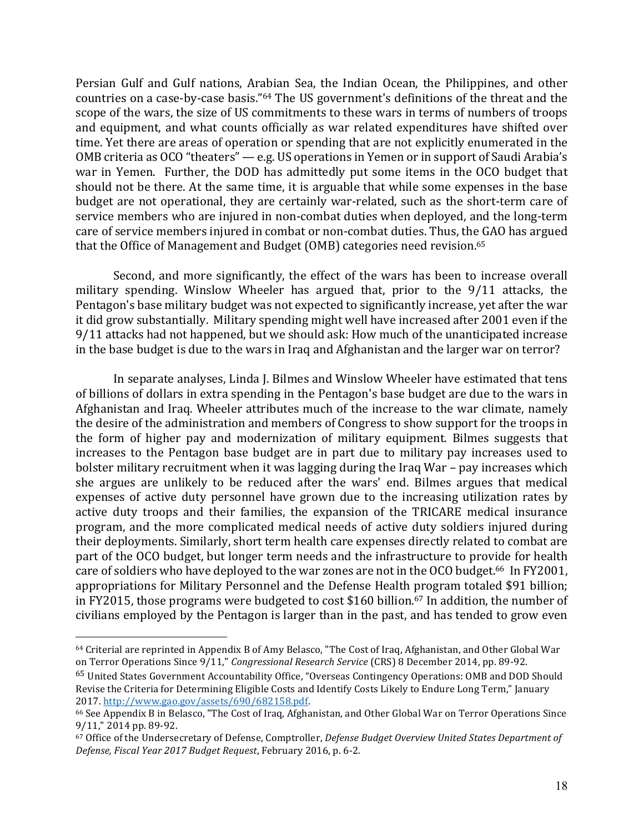Persian Gulf and Gulf nations, Arabian Sea, the Indian Ocean, the Philippines, and other countries on a case-by-case basis."<sup>64</sup> The US government's definitions of the threat and the scope of the wars, the size of US commitments to these wars in terms of numbers of troops and equipment, and what counts officially as war related expenditures have shifted over time. Yet there are areas of operation or spending that are not explicitly enumerated in the OMB criteria as OCO "theaters"  $-$  e.g. US operations in Yemen or in support of Saudi Arabia's war in Yemen. Further, the DOD has admittedly put some items in the OCO budget that should not be there. At the same time, it is arguable that while some expenses in the base budget are not operational, they are certainly war-related, such as the short-term care of service members who are injured in non-combat duties when deployed, and the long-term care of service members injured in combat or non-combat duties. Thus, the GAO has argued that the Office of Management and Budget (OMB) categories need revision.<sup>65</sup>

Second, and more significantly, the effect of the wars has been to increase overall military spending. Winslow Wheeler has argued that, prior to the 9/11 attacks, the Pentagon's base military budget was not expected to significantly increase, yet after the war it did grow substantially. Military spending might well have increased after 2001 even if the 9/11 attacks had not happened, but we should ask: How much of the unanticipated increase in the base budget is due to the wars in Iraq and Afghanistan and the larger war on terror?

In separate analyses, Linda J. Bilmes and Winslow Wheeler have estimated that tens of billions of dollars in extra spending in the Pentagon's base budget are due to the wars in Afghanistan and Iraq. Wheeler attributes much of the increase to the war climate, namely the desire of the administration and members of Congress to show support for the troops in the form of higher pay and modernization of military equipment. Bilmes suggests that increases to the Pentagon base budget are in part due to military pay increases used to bolster military recruitment when it was lagging during the Iraq War – pay increases which she argues are unlikely to be reduced after the wars' end. Bilmes argues that medical expenses of active duty personnel have grown due to the increasing utilization rates by active duty troops and their families, the expansion of the TRICARE medical insurance program, and the more complicated medical needs of active duty soldiers injured during their deployments. Similarly, short term health care expenses directly related to combat are part of the OCO budget, but longer term needs and the infrastructure to provide for health care of soldiers who have deployed to the war zones are not in the OCO budget.<sup>66</sup> In FY2001, appropriations for Military Personnel and the Defense Health program totaled \$91 billion; in FY2015, those programs were budgeted to cost \$160 billion.<sup>67</sup> In addition, the number of civilians employed by the Pentagon is larger than in the past, and has tended to grow even

<sup>&</sup>lt;sup>64</sup> Criterial are reprinted in Appendix B of Amy Belasco, "The Cost of Iraq, Afghanistan, and Other Global War on Terror Operations Since  $9/11$ ," *Congressional Research Service* (CRS) 8 December 2014, pp. 89-92.

<sup>&</sup>lt;sup>65</sup> United States Government Accountability Office, "Overseas Contingency Operations: OMB and DOD Should Revise the Criteria for Determining Eligible Costs and Identify Costs Likely to Endure Long Term," January 2017. http://www.gao.gov/assets/690/682158.pdf. 

<sup>&</sup>lt;sup>66</sup> See Appendix B in Belasco, "The Cost of Iraq, Afghanistan, and Other Global War on Terror Operations Since 9/11," 2014 pp. 89-92.

<sup>&</sup>lt;sup>67</sup> Office of the Undersecretary of Defense, Comptroller, *Defense Budget Overview United States Department of Defense, Fiscal Year 2017 Budget Request*, February 2016, p. 6-2.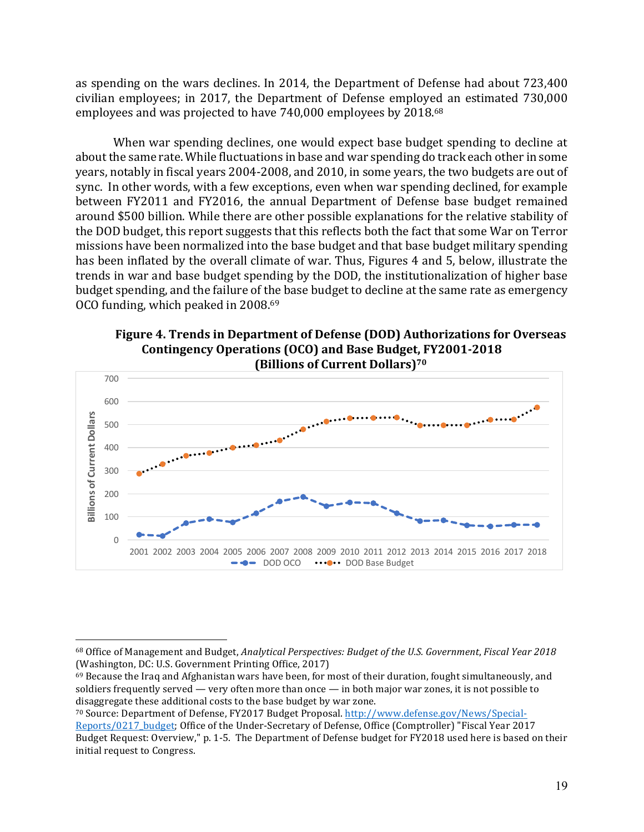as spending on the wars declines. In 2014, the Department of Defense had about 723,400 civilian employees; in 2017, the Department of Defense employed an estimated 730,000 employees and was projected to have 740,000 employees by 2018.<sup>68</sup>

When war spending declines, one would expect base budget spending to decline at about the same rate. While fluctuations in base and war spending do track each other in some years, notably in fiscal years 2004-2008, and 2010, in some years, the two budgets are out of sync. In other words, with a few exceptions, even when war spending declined, for example between FY2011 and FY2016, the annual Department of Defense base budget remained around \$500 billion. While there are other possible explanations for the relative stability of the DOD budget, this report suggests that this reflects both the fact that some War on Terror missions have been normalized into the base budget and that base budget military spending has been inflated by the overall climate of war. Thus, Figures 4 and 5, below, illustrate the trends in war and base budget spending by the DOD, the institutionalization of higher base budget spending, and the failure of the base budget to decline at the same rate as emergency OCO funding, which peaked in 2008.<sup>69</sup>

**Figure 4. Trends in Department of Defense (DOD) Authorizations for Overseas Contingency Operations (OCO) and Base Budget, FY2001-2018 (Billions of Current Dollars)<sup>70</sup>** 



 $\overline{a}$ 

70 Source: Department of Defense, FY2017 Budget Proposal. http://www.defense.gov/News/Special-Reports/0217\_budget; Office of the Under-Secretary of Defense, Office (Comptroller) "Fiscal Year 2017 Budget Request: Overview," p. 1-5. The Department of Defense budget for FY2018 used here is based on their initial request to Congress.

<sup>68</sup> Office of Management and Budget, *Analytical Perspectives: Budget of the U.S. Government, Fiscal Year 2018* (Washington, DC: U.S. Government Printing Office, 2017)

 $69$  Because the Iraq and Afghanistan wars have been, for most of their duration, fought simultaneously, and soldiers frequently served — very often more than once — in both major war zones, it is not possible to disaggregate these additional costs to the base budget by war zone.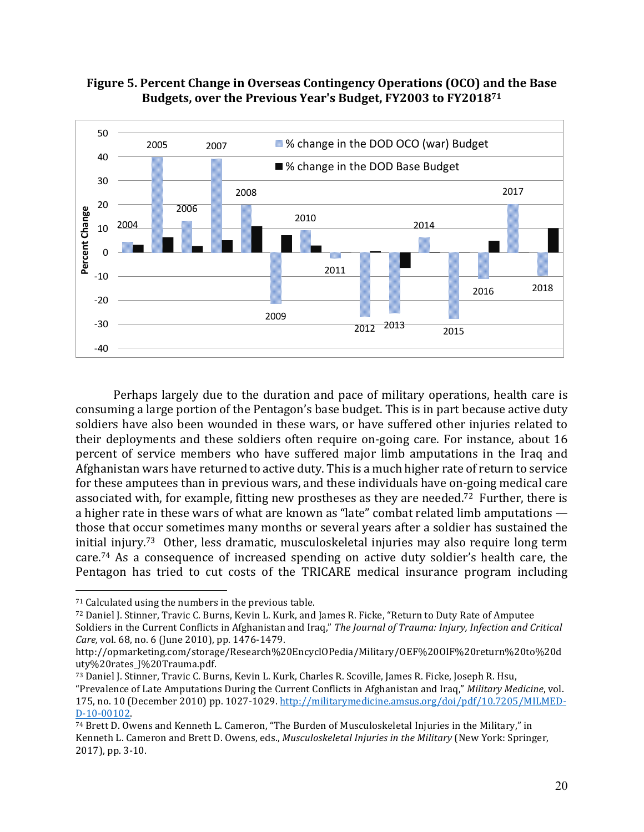



Perhaps largely due to the duration and pace of military operations, health care is consuming a large portion of the Pentagon's base budget. This is in part because active duty soldiers have also been wounded in these wars, or have suffered other injuries related to their deployments and these soldiers often require on-going care. For instance, about 16 percent of service members who have suffered major limb amputations in the Iraq and Afghanistan wars have returned to active duty. This is a much higher rate of return to service for these amputees than in previous wars, and these individuals have on-going medical care associated with, for example, fitting new prostheses as they are needed.<sup>72</sup> Further, there is a higher rate in these wars of what are known as "late" combat related limb amputations  $$ those that occur sometimes many months or several years after a soldier has sustained the initial injury.<sup>73</sup> Other, less dramatic, musculoskeletal injuries may also require long term care.<sup>74</sup> As a consequence of increased spending on active duty soldier's health care, the Pentagon has tried to cut costs of the TRICARE medical insurance program including

 $71$  Calculated using the numbers in the previous table.

<sup>72</sup> Daniel J. Stinner, Travic C. Burns, Kevin L. Kurk, and James R. Ficke, "Return to Duty Rate of Amputee Soldiers in the Current Conflicts in Afghanistan and Iraq," The Journal of Trauma: Injury, Infection and Critical *Care, vol.* 68, no. 6 (June 2010), pp. 1476-1479.

http://opmarketing.com/storage/Research%20EncyclOPedia/Military/OEF%20OIF%20return%20to%20d uty%20rates\_J%20Trauma.pdf.

<sup>73</sup> Daniel J. Stinner, Travic C. Burns, Kevin L. Kurk, Charles R. Scoville, James R. Ficke, Joseph R. Hsu, "Prevalence of Late Amputations During the Current Conflicts in Afghanistan and Iraq," *Military Medicine*, vol. 175, no. 10 (December 2010) pp. 1027-1029. http://militarymedicine.amsus.org/doi/pdf/10.7205/MILMED-D-10-00102. 

 $74$  Brett D. Owens and Kenneth L. Cameron, "The Burden of Musculoskeletal Injuries in the Military," in Kenneth L. Cameron and Brett D. Owens, eds., *Musculoskeletal Injuries in the Military* (New York: Springer, 2017), pp. 3-10.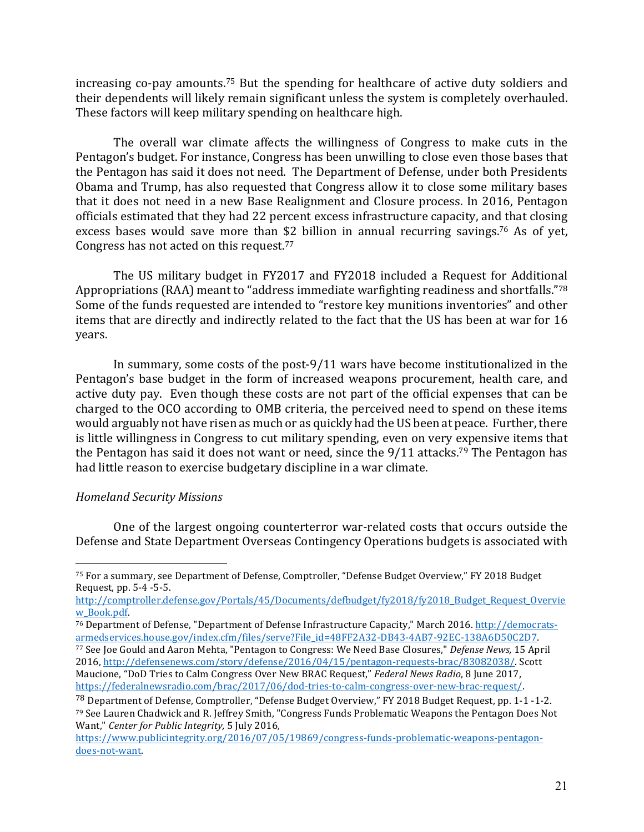increasing co-pay amounts.<sup>75</sup> But the spending for healthcare of active duty soldiers and their dependents will likely remain significant unless the system is completely overhauled. These factors will keep military spending on healthcare high.

The overall war climate affects the willingness of Congress to make cuts in the Pentagon's budget. For instance, Congress has been unwilling to close even those bases that the Pentagon has said it does not need. The Department of Defense, under both Presidents Obama and Trump, has also requested that Congress allow it to close some military bases that it does not need in a new Base Realignment and Closure process. In 2016, Pentagon officials estimated that they had 22 percent excess infrastructure capacity, and that closing excess bases would save more than \$2 billion in annual recurring savings.<sup>76</sup> As of yet, Congress has not acted on this request.<sup>77</sup>

The US military budget in FY2017 and FY2018 included a Request for Additional Appropriations (RAA) meant to "address immediate warfighting readiness and shortfalls."<sup>78</sup> Some of the funds requested are intended to "restore key munitions inventories" and other items that are directly and indirectly related to the fact that the US has been at war for 16 years.

In summary, some costs of the post-9/11 wars have become institutionalized in the Pentagon's base budget in the form of increased weapons procurement, health care, and active duty pay. Even though these costs are not part of the official expenses that can be charged to the OCO according to OMB criteria, the perceived need to spend on these items would arguably not have risen as much or as quickly had the US been at peace. Further, there is little willingness in Congress to cut military spending, even on very expensive items that the Pentagon has said it does not want or need, since the  $9/11$  attacks.<sup>79</sup> The Pentagon has had little reason to exercise budgetary discipline in a war climate.

#### *Homeland Security Missions*

 $\overline{a}$ 

One of the largest ongoing counterterror war-related costs that occurs outside the Defense and State Department Overseas Contingency Operations budgets is associated with

http://comptroller.defense.gov/Portals/45/Documents/defbudget/fy2018/fy2018\_Budget\_Request\_Overvie w\_Book.pdf. 

- <sup>76</sup> Department of Defense, "Department of Defense Infrastructure Capacity," March 2016. http://democratsarmedservices.house.gov/index.cfm/files/serve?File\_id=48FF2A32-DB43-4AB7-92EC-138A6D50C2D7.
- 77 See Joe Gould and Aaron Mehta, "Pentagon to Congress: We Need Base Closures," *Defense News*, 15 April 2016, http://defensenews.com/story/defense/2016/04/15/pentagon-requests-brac/83082038/. Scott Maucione, "DoD Tries to Calm Congress Over New BRAC Request," *Federal News Radio*, 8 June 2017, https://federalnewsradio.com/brac/2017/06/dod-tries-to-calm-congress-over-new-brac-request/.

<sup>75</sup> For a summary, see Department of Defense, Comptroller, "Defense Budget Overview," FY 2018 Budget Request, pp. 5-4 -5-5.

<sup>&</sup>lt;sup>78</sup> Department of Defense, Comptroller, "Defense Budget Overview," FY 2018 Budget Request, pp. 1-1 -1-2. 79 See Lauren Chadwick and R. Jeffrey Smith, "Congress Funds Problematic Weapons the Pentagon Does Not Want," *Center for Public Integrity*, 5 July 2016,

https://www.publicintegrity.org/2016/07/05/19869/congress-funds-problematic-weapons-pentagondoes-not-want.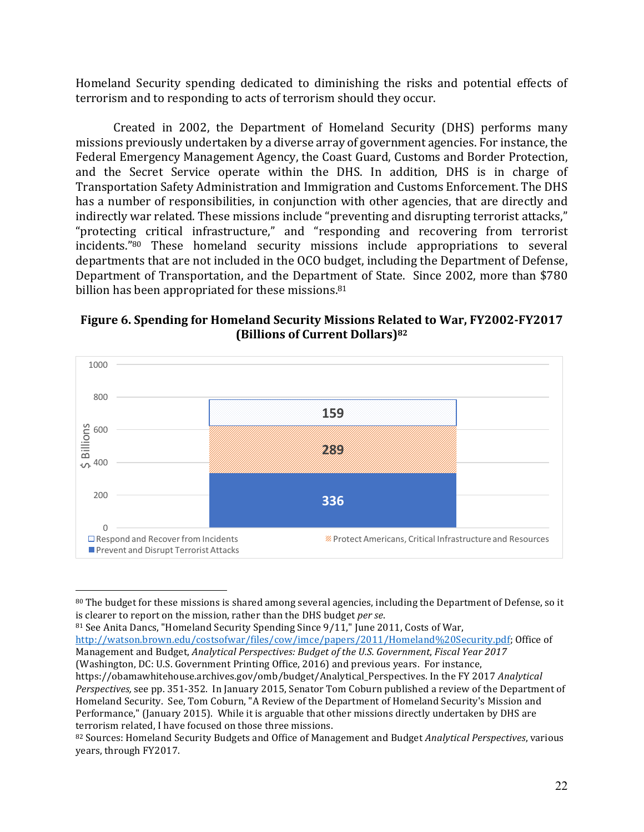Homeland Security spending dedicated to diminishing the risks and potential effects of terrorism and to responding to acts of terrorism should they occur.

Created in 2002, the Department of Homeland Security (DHS) performs many missions previously undertaken by a diverse array of government agencies. For instance, the Federal Emergency Management Agency, the Coast Guard, Customs and Border Protection, and the Secret Service operate within the DHS. In addition, DHS is in charge of Transportation Safety Administration and Immigration and Customs Enforcement. The DHS has a number of responsibilities, in conjunction with other agencies, that are directly and indirectly war related. These missions include "preventing and disrupting terrorist attacks," "protecting critical infrastructure," and "responding and recovering from terrorist incidents."<sup>80</sup> These homeland security missions include appropriations to several departments that are not included in the OCO budget, including the Department of Defense, Department of Transportation, and the Department of State. Since 2002, more than \$780 billion has been appropriated for these missions.<sup>81</sup>

# **Figure 6. Spending for Homeland Security Missions Related to War, FY2002-FY2017 (Billions of Current Dollars)**82



 $80$  The budget for these missions is shared among several agencies, including the Department of Defense, so it is clearer to report on the mission, rather than the DHS budget *per se*.

81 See Anita Dancs, "Homeland Security Spending Since 9/11," June 2011, Costs of War,

 $\overline{a}$ 

http://watson.brown.edu/costsofwar/files/cow/imce/papers/2011/Homeland%20Security.pdf; Office of Management and Budget, *Analytical Perspectives: Budget of the U.S. Government, Fiscal Year 2017* (Washington, DC: U.S. Government Printing Office, 2016) and previous years. For instance,

https://obamawhitehouse.archives.gov/omb/budget/Analytical\_Perspectives. In the FY 2017 *Analytical Perspectives,* see pp. 351-352. In January 2015, Senator Tom Coburn published a review of the Department of Homeland Security. See, Tom Coburn, "A Review of the Department of Homeland Security's Mission and Performance," (January 2015). While it is arguable that other missions directly undertaken by DHS are terrorism related, I have focused on those three missions.

<sup>82</sup> Sources: Homeland Security Budgets and Office of Management and Budget *Analytical Perspectives*, various years, through FY2017.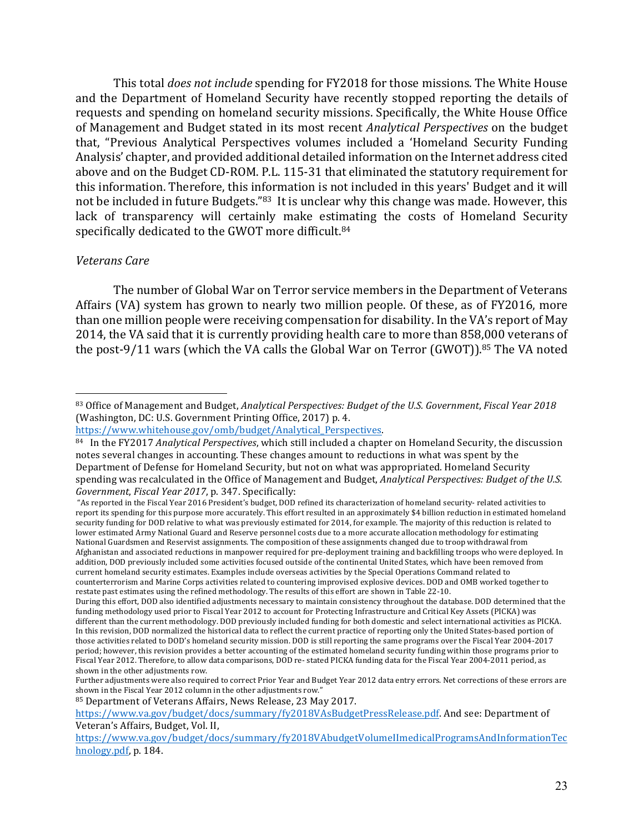This total *does not include* spending for FY2018 for those missions. The White House and the Department of Homeland Security have recently stopped reporting the details of requests and spending on homeland security missions. Specifically, the White House Office of Management and Budget stated in its most recent *Analytical Perspectives* on the budget that, "Previous Analytical Perspectives volumes included a 'Homeland Security Funding Analysis' chapter, and provided additional detailed information on the Internet address cited above and on the Budget CD-ROM. P.L. 115-31 that eliminated the statutory requirement for this information. Therefore, this information is not included in this years' Budget and it will not be included in future Budgets."83 It is unclear why this change was made. However, this lack of transparency will certainly make estimating the costs of Homeland Security specifically dedicated to the GWOT more difficult.<sup>84</sup>

#### *Veterans Care*

 $\overline{a}$ 

The number of Global War on Terror service members in the Department of Veterans Affairs (VA) system has grown to nearly two million people. Of these, as of FY2016, more than one million people were receiving compensation for disability. In the VA's report of May 2014, the VA said that it is currently providing health care to more than 858,000 veterans of the post-9/11 wars (which the VA calls the Global War on Terror (GWOT)). $^{85}$  The VA noted

"As reported in the Fiscal Year 2016 President's budget, DOD refined its characterization of homeland security- related activities to report its spending for this purpose more accurately. This effort resulted in an approximately \$4 billion reduction in estimated homeland security funding for DOD relative to what was previously estimated for 2014, for example. The majority of this reduction is related to lower estimated Army National Guard and Reserve personnel costs due to a more accurate allocation methodology for estimating National Guardsmen and Reservist assignments. The composition of these assignments changed due to troop withdrawal from Afghanistan and associated reductions in manpower required for pre-deployment training and backfilling troops who were deployed. In addition, DOD previously included some activities focused outside of the continental United States, which have been removed from current homeland security estimates. Examples include overseas activities by the Special Operations Command related to counterterrorism and Marine Corps activities related to countering improvised explosive devices. DOD and OMB worked together to restate past estimates using the refined methodology. The results of this effort are shown in Table 22-10.

<sup>83</sup> Office of Management and Budget, *Analytical Perspectives: Budget of the U.S. Government*, *Fiscal Year 2018* (Washington, DC: U.S. Government Printing Office, 2017) p. 4.

https://www.whitehouse.gov/omb/budget/Analytical\_Perspectives. 

<sup>84</sup> In the FY2017 *Analytical Perspectives*, which still included a chapter on Homeland Security, the discussion notes several changes in accounting. These changes amount to reductions in what was spent by the Department of Defense for Homeland Security, but not on what was appropriated. Homeland Security spending was recalculated in the Office of Management and Budget, *Analytical Perspectives: Budget of the U.S. Government, Fiscal Year 2017, p. 347. Specifically:* 

During this effort, DOD also identified adjustments necessary to maintain consistency throughout the database. DOD determined that the funding methodology used prior to Fiscal Year 2012 to account for Protecting Infrastructure and Critical Key Assets (PICKA) was different than the current methodology. DOD previously included funding for both domestic and select international activities as PICKA. In this revision, DOD normalized the historical data to reflect the current practice of reporting only the United States-based portion of those activities related to DOD's homeland security mission. DOD is still reporting the same programs over the Fiscal Year 2004-2017 period; however, this revision provides a better accounting of the estimated homeland security funding within those programs prior to Fiscal Year 2012. Therefore, to allow data comparisons, DOD re- stated PICKA funding data for the Fiscal Year 2004-2011 period, as shown in the other adjustments row.

Further adjustments were also required to correct Prior Year and Budget Year 2012 data entry errors. Net corrections of these errors are shown in the Fiscal Year 2012 column in the other adjustments row."

<sup>85</sup> Department of Veterans Affairs, News Release, 23 May 2017.

https://www.va.gov/budget/docs/summary/fy2018VAsBudgetPressRelease.pdf. And see: Department of Veteran's Affairs, Budget, Vol. II,

https://www.va.gov/budget/docs/summary/fy2018VAbudgetVolumeIImedicalProgramsAndInformationTec hnology.pdf, p. 184.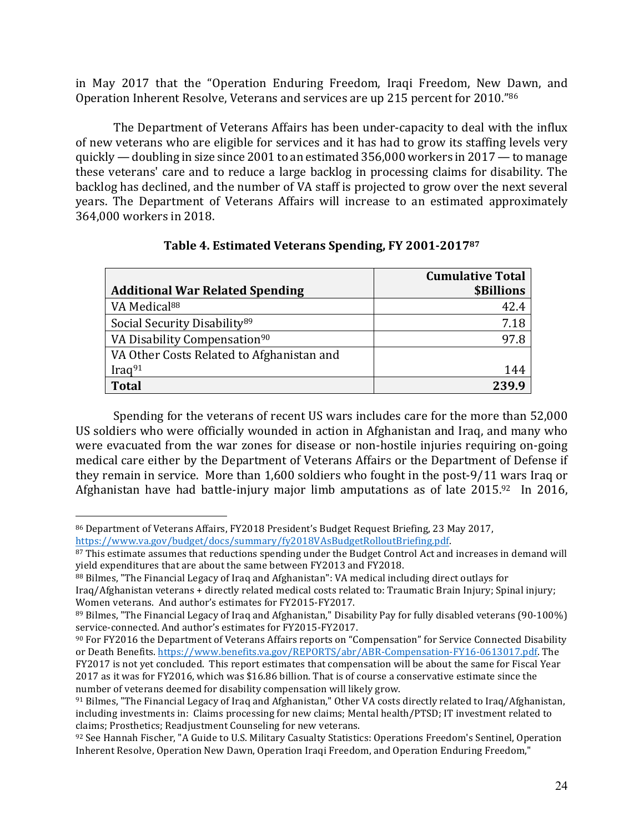in May 2017 that the "Operation Enduring Freedom, Iraqi Freedom, New Dawn, and Operation Inherent Resolve, Veterans and services are up 215 percent for 2010."86

The Department of Veterans Affairs has been under-capacity to deal with the influx of new veterans who are eligible for services and it has had to grow its staffing levels very quickly — doubling in size since 2001 to an estimated  $356,000$  workers in  $2017 -$  to manage these veterans' care and to reduce a large backlog in processing claims for disability. The backlog has declined, and the number of VA staff is projected to grow over the next several years. The Department of Veterans Affairs will increase to an estimated approximately 364,000 workers in 2018.

|                                           | <b>Cumulative Total</b> |
|-------------------------------------------|-------------------------|
| <b>Additional War Related Spending</b>    | <b>\$Billions</b>       |
| VA Medical <sup>88</sup>                  | 42.4                    |
| Social Security Disability <sup>89</sup>  | 7.18                    |
| VA Disability Compensation <sup>90</sup>  | 97 R                    |
| VA Other Costs Related to Afghanistan and |                         |
| Iraq $91$                                 | 144                     |
| Total                                     | 239.9                   |

# **Table 4. Estimated Veterans Spending, FY 2001-201787**

Spending for the veterans of recent US wars includes care for the more than 52,000 US soldiers who were officially wounded in action in Afghanistan and Iraq, and many who were evacuated from the war zones for disease or non-hostile injuries requiring on-going medical care either by the Department of Veterans Affairs or the Department of Defense if they remain in service. More than  $1,600$  soldiers who fought in the post-9/11 wars Iraq or Afghanistan have had battle-injury major limb amputations as of late  $2015.^{92}$  In 2016,

<sup>86</sup> Department of Veterans Affairs, FY2018 President's Budget Request Briefing, 23 May 2017, https://www.va.gov/budget/docs/summary/fy2018VAsBudgetRolloutBriefing.pdf. 

<sup>87</sup> This estimate assumes that reductions spending under the Budget Control Act and increases in demand will yield expenditures that are about the same between FY2013 and FY2018.

<sup>88</sup> Bilmes, "The Financial Legacy of Iraq and Afghanistan": VA medical including direct outlays for Iraq/Afghanistan veterans + directly related medical costs related to: Traumatic Brain Injury; Spinal injury; Women veterans. And author's estimates for FY2015-FY2017.

 $89$  Bilmes, "The Financial Legacy of Iraq and Afghanistan," Disability Pay for fully disabled veterans (90-100%) service-connected. And author's estimates for FY2015-FY2017.

<sup>&</sup>lt;sup>90</sup> For FY2016 the Department of Veterans Affairs reports on "Compensation" for Service Connected Disability or Death Benefits. https://www.benefits.va.gov/REPORTS/abr/ABR-Compensation-FY16-0613017.pdf. The FY2017 is not yet concluded. This report estimates that compensation will be about the same for Fiscal Year 2017 as it was for FY2016, which was \$16.86 billion. That is of course a conservative estimate since the number of veterans deemed for disability compensation will likely grow.

 $91$  Bilmes, "The Financial Legacy of Iraq and Afghanistan," Other VA costs directly related to Iraq/Afghanistan, including investments in: Claims processing for new claims; Mental health/PTSD; IT investment related to claims; Prosthetics; Readjustment Counseling for new veterans.

<sup>92</sup> See Hannah Fischer, "A Guide to U.S. Military Casualty Statistics: Operations Freedom's Sentinel, Operation Inherent Resolve, Operation New Dawn, Operation Iraqi Freedom, and Operation Enduring Freedom,"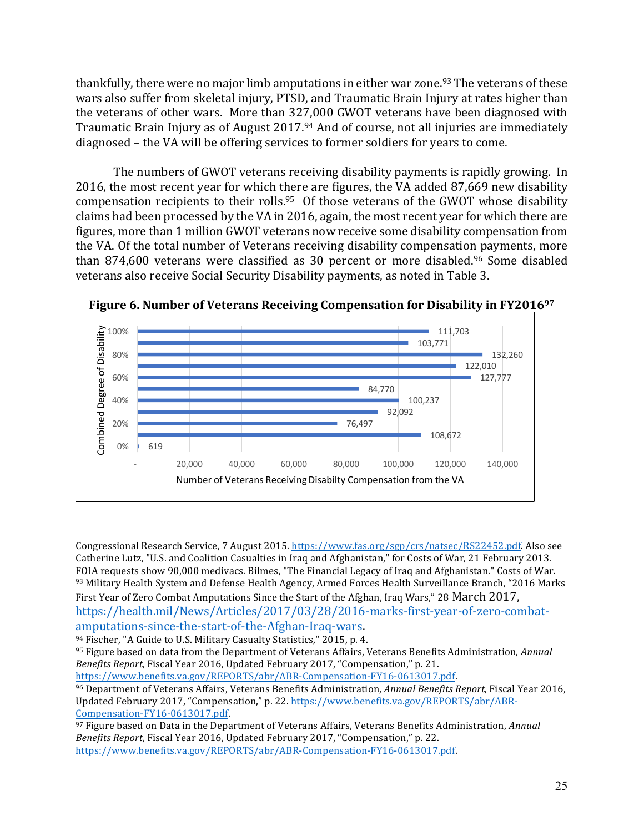thankfully, there were no major limb amputations in either war zone.<sup>93</sup> The veterans of these wars also suffer from skeletal injury, PTSD, and Traumatic Brain Injury at rates higher than the veterans of other wars. More than 327,000 GWOT veterans have been diagnosed with Traumatic Brain Injury as of August 2017.<sup>94</sup> And of course, not all injuries are immediately diagnosed – the VA will be offering services to former soldiers for years to come.

The numbers of GWOT veterans receiving disability payments is rapidly growing. In 2016, the most recent year for which there are figures, the VA added 87,669 new disability compensation recipients to their rolls.<sup>95</sup> Of those veterans of the GWOT whose disability claims had been processed by the VA in 2016, again, the most recent year for which there are figures, more than 1 million GWOT veterans now receive some disability compensation from the VA. Of the total number of Veterans receiving disability compensation payments, more than 874,600 veterans were classified as 30 percent or more disabled.<sup>96</sup> Some disabled veterans also receive Social Security Disability payments, as noted in Table 3.



**Figure 6. Number of Veterans Receiving Compensation for Disability in FY2016<sup>97</sup>** 

 $\overline{a}$ 

https://www.benefits.va.gov/REPORTS/abr/ABR-Compensation-FY16-0613017.pdf.

Congressional Research Service, 7 August 2015. https://www.fas.org/sgp/crs/natsec/RS22452.pdf. Also see Catherine Lutz, "U.S. and Coalition Casualties in Iraq and Afghanistan," for Costs of War, 21 February 2013. FOIA requests show 90,000 medivacs. Bilmes, "The Financial Legacy of Iraq and Afghanistan." Costs of War. 93 Military Health System and Defense Health Agency, Armed Forces Health Surveillance Branch, "2016 Marks

First Year of Zero Combat Amputations Since the Start of the Afghan, Iraq Wars," 28 March 2017, https://health.mil/News/Articles/2017/03/28/2016-marks-first-year-of-zero-combatamputations-since-the-start-of-the-Afghan-Iraq-wars. 

<sup>&</sup>lt;sup>94</sup> Fischer, "A Guide to U.S. Military Casualty Statistics," 2015, p. 4.

<sup>95</sup> Figure based on data from the Department of Veterans Affairs, Veterans Benefits Administration, *Annual Benefits Report, Fiscal Year 2016, Updated February 2017, "Compensation," p. 21.* 

<sup>96</sup> Department of Veterans Affairs, Veterans Benefits Administration, Annual Benefits Report, Fiscal Year 2016, Updated February 2017, "Compensation," p. 22. https://www.benefits.va.gov/REPORTS/abr/ABR-Compensation-FY16-0613017.pdf. 

<sup>&</sup>lt;sup>97</sup> Figure based on Data in the Department of Veterans Affairs, Veterans Benefits Administration, *Annual Benefits Report, Fiscal Year 2016, Updated February 2017, "Compensation," p. 22.* https://www.benefits.va.gov/REPORTS/abr/ABR-Compensation-FY16-0613017.pdf.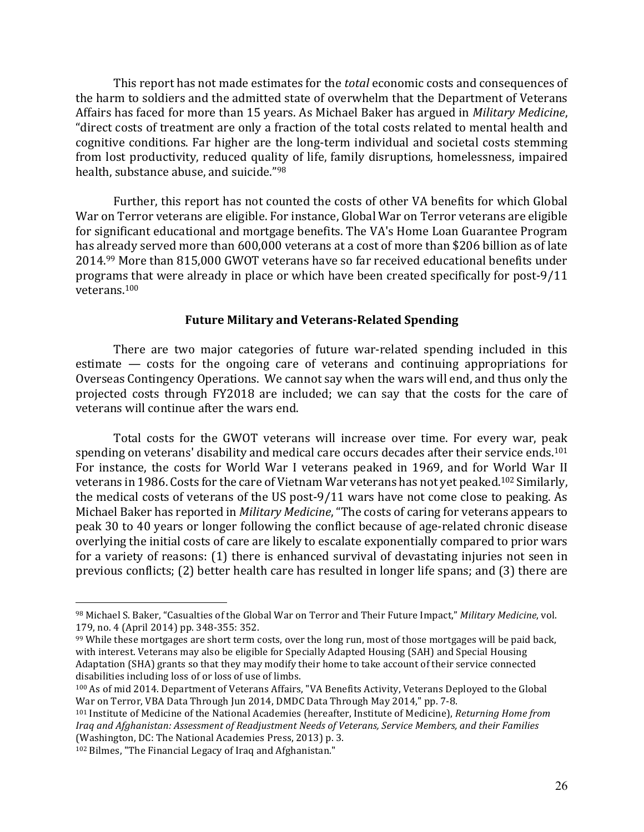This report has not made estimates for the *total* economic costs and consequences of the harm to soldiers and the admitted state of overwhelm that the Department of Veterans Affairs has faced for more than 15 years. As Michael Baker has argued in *Military Medicine*, "direct costs of treatment are only a fraction of the total costs related to mental health and cognitive conditions. Far higher are the long-term individual and societal costs stemming from lost productivity, reduced quality of life, family disruptions, homelessness, impaired health, substance abuse, and suicide."98

Further, this report has not counted the costs of other VA benefits for which Global War on Terror veterans are eligible. For instance, Global War on Terror veterans are eligible for significant educational and mortgage benefits. The VA's Home Loan Guarantee Program has already served more than 600,000 veterans at a cost of more than \$206 billion as of late 2014.<sup>99</sup> More than 815,000 GWOT veterans have so far received educational benefits under programs that were already in place or which have been created specifically for post-9/11 veterans.100

#### **Future Military and Veterans-Related Spending**

There are two major categories of future war-related spending included in this estimate  $-$  costs for the ongoing care of veterans and continuing appropriations for Overseas Contingency Operations. We cannot say when the wars will end, and thus only the projected costs through FY2018 are included; we can say that the costs for the care of veterans will continue after the wars end.

Total costs for the GWOT veterans will increase over time. For every war, peak spending on veterans' disability and medical care occurs decades after their service ends.<sup>101</sup> For instance, the costs for World War I veterans peaked in 1969, and for World War II veterans in 1986. Costs for the care of Vietnam War veterans has not vet peaked.<sup>102</sup> Similarly, the medical costs of veterans of the US post-9/11 wars have not come close to peaking. As Michael Baker has reported in *Military Medicine*, "The costs of caring for veterans appears to peak 30 to 40 years or longer following the conflict because of age-related chronic disease overlying the initial costs of care are likely to escalate exponentially compared to prior wars for a variety of reasons:  $(1)$  there is enhanced survival of devastating injuries not seen in previous conflicts; (2) better health care has resulted in longer life spans; and (3) there are

<sup>98</sup> Michael S. Baker, "Casualties of the Global War on Terror and Their Future Impact," *Military Medicine*, vol. 179, no. 4 (April 2014) pp. 348-355: 352.

 $99$  While these mortgages are short term costs, over the long run, most of those mortgages will be paid back, with interest. Veterans may also be eligible for Specially Adapted Housing (SAH) and Special Housing Adaptation (SHA) grants so that they may modify their home to take account of their service connected disabilities including loss of or loss of use of limbs.

<sup>100</sup> As of mid 2014. Department of Veterans Affairs, "VA Benefits Activity, Veterans Deployed to the Global War on Terror, VBA Data Through Jun 2014, DMDC Data Through May 2014," pp. 7-8.

<sup>&</sup>lt;sup>101</sup> Institute of Medicine of the National Academies (hereafter, Institute of Medicine), *Returning Home from Iraq and Afghanistan: Assessment of Readjustment Needs of Veterans, Service Members, and their Families* (Washington, DC: The National Academies Press, 2013) p. 3.

<sup>&</sup>lt;sup>102</sup> Bilmes, "The Financial Legacy of Iraq and Afghanistan."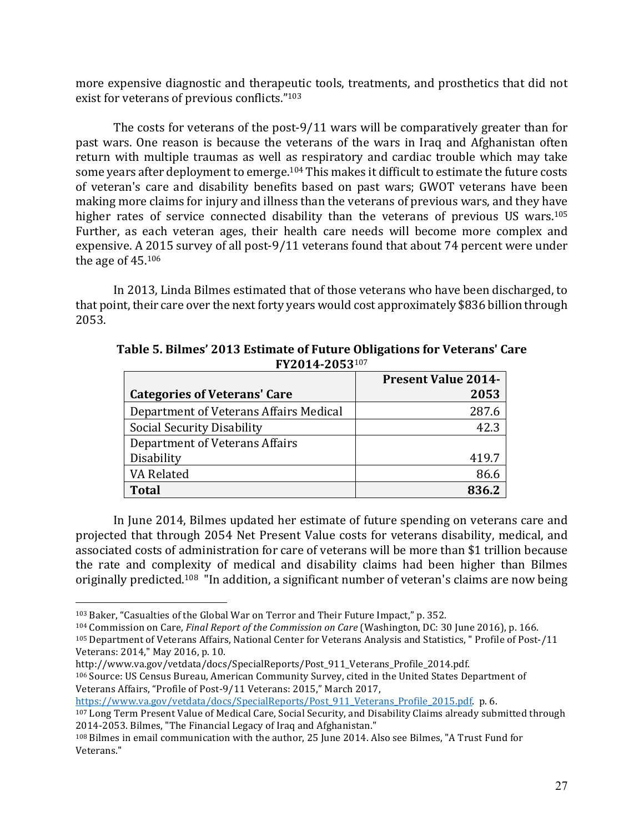more expensive diagnostic and therapeutic tools, treatments, and prosthetics that did not exist for veterans of previous conflicts."103

The costs for veterans of the post-9/11 wars will be comparatively greater than for past wars. One reason is because the veterans of the wars in Iraq and Afghanistan often return with multiple traumas as well as respiratory and cardiac trouble which may take some years after deployment to emerge.<sup>104</sup> This makes it difficult to estimate the future costs of veteran's care and disability benefits based on past wars; GWOT veterans have been making more claims for injury and illness than the veterans of previous wars, and they have higher rates of service connected disability than the veterans of previous US wars.<sup>105</sup> Further, as each veteran ages, their health care needs will become more complex and expensive. A 2015 survey of all post-9/11 veterans found that about 74 percent were under the age of  $45.106$ 

In 2013, Linda Bilmes estimated that of those veterans who have been discharged, to that point, their care over the next forty years would cost approximately \$836 billion through 2053. 

|                                        | <b>Present Value 2014-</b> |
|----------------------------------------|----------------------------|
| <b>Categories of Veterans' Care</b>    | 2053                       |
| Department of Veterans Affairs Medical | 287.6                      |
| Social Security Disability             | 42.3                       |
| Department of Veterans Affairs         |                            |
| Disability                             | 419.7                      |
| VA Related                             | 86.6                       |
| <b>Total</b>                           | 8362                       |

Table 5. Bilmes' 2013 Estimate of Future Obligations for Veterans' Care **FY2014-2053**<sup>107</sup>

In June 2014, Bilmes updated her estimate of future spending on veterans care and projected that through 2054 Net Present Value costs for veterans disability, medical, and associated costs of administration for care of veterans will be more than \$1 trillion because the rate and complexity of medical and disability claims had been higher than Bilmes originally predicted.<sup>108</sup> "In addition, a significant number of veteran's claims are now being

 $\overline{a}$ 

https://www.va.gov/vetdata/docs/SpecialReports/Post 911 Veterans Profile 2015.pdf. p. 6.

 $103$  Baker, "Casualties of the Global War on Terror and Their Future Impact," p. 352.

<sup>104</sup> Commission on Care, *Final Report of the Commission on Care* (Washington, DC: 30 June 2016), p. 166.

<sup>105</sup> Department of Veterans Affairs, National Center for Veterans Analysis and Statistics, " Profile of Post-/11 Veterans: 2014," May 2016, p. 10.

http://www.va.gov/vetdata/docs/SpecialReports/Post\_911\_Veterans\_Profile\_2014.pdf.

<sup>106</sup> Source: US Census Bureau, American Community Survey, cited in the United States Department of Veterans Affairs, "Profile of Post-9/11 Veterans: 2015," March 2017,

<sup>&</sup>lt;sup>107</sup> Long Term Present Value of Medical Care, Social Security, and Disability Claims already submitted through 2014-2053. Bilmes, "The Financial Legacy of Iraq and Afghanistan."

 $108$  Bilmes in email communication with the author, 25 June 2014. Also see Bilmes, "A Trust Fund for Veterans."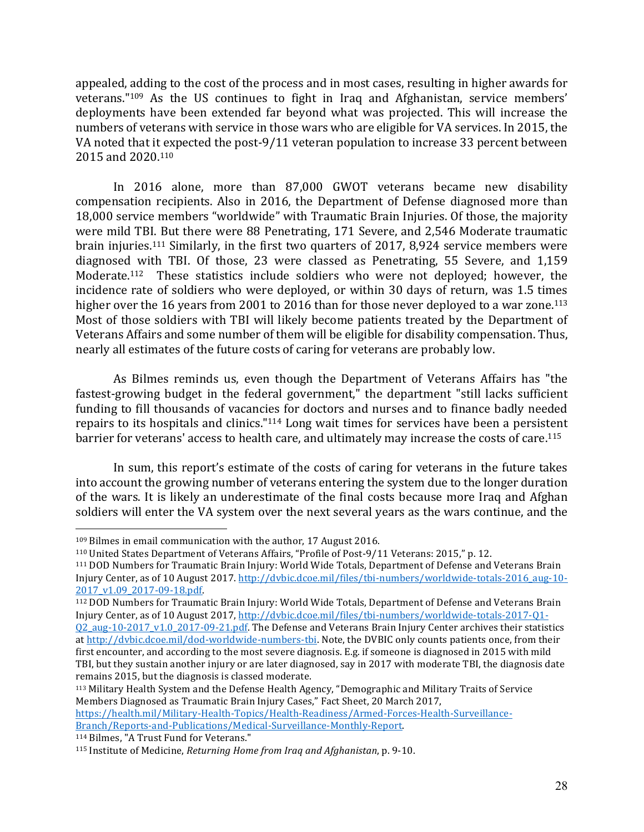appealed, adding to the cost of the process and in most cases, resulting in higher awards for veterans."<sup>109</sup> As the US continues to fight in Iraq and Afghanistan, service members' deployments have been extended far beyond what was projected. This will increase the numbers of veterans with service in those wars who are eligible for VA services. In 2015, the VA noted that it expected the post-9/11 veteran population to increase 33 percent between 2015 and 2020.<sup>110</sup>

In 2016 alone, more than 87,000 GWOT veterans became new disability compensation recipients. Also in 2016, the Department of Defense diagnosed more than 18,000 service members "worldwide" with Traumatic Brain Injuries. Of those, the majority were mild TBI. But there were 88 Penetrating, 171 Severe, and 2,546 Moderate traumatic brain injuries.<sup>111</sup> Similarly, in the first two quarters of 2017, 8,924 service members were diagnosed with TBI. Of those, 23 were classed as Penetrating, 55 Severe, and 1,159 Moderate.<sup>112</sup> These statistics include soldiers who were not deployed; however, the incidence rate of soldiers who were deployed, or within 30 days of return, was 1.5 times higher over the 16 years from 2001 to 2016 than for those never deployed to a war zone.<sup>113</sup> Most of those soldiers with TBI will likely become patients treated by the Department of Veterans Affairs and some number of them will be eligible for disability compensation. Thus, nearly all estimates of the future costs of caring for veterans are probably low.

As Bilmes reminds us, even though the Department of Veterans Affairs has "the fastest-growing budget in the federal government," the department "still lacks sufficient funding to fill thousands of vacancies for doctors and nurses and to finance badly needed repairs to its hospitals and clinics." $114$  Long wait times for services have been a persistent barrier for veterans' access to health care, and ultimately may increase the costs of care.<sup>115</sup>

In sum, this report's estimate of the costs of caring for veterans in the future takes into account the growing number of veterans entering the system due to the longer duration of the wars. It is likely an underestimate of the final costs because more Iraq and Afghan soldiers will enter the VA system over the next several years as the wars continue, and the

<sup>112</sup> DOD Numbers for Traumatic Brain Injury: World Wide Totals, Department of Defense and Veterans Brain Injury Center, as of 10 August 2017, http://dvbic.dcoe.mil/files/tbi-numbers/worldwide-totals-2017-Q1-

113 Military Health System and the Defense Health Agency, "Demographic and Military Traits of Service Members Diagnosed as Traumatic Brain Injury Cases," Fact Sheet, 20 March 2017,

https://health.mil/Military-Health-Topics/Health-Readiness/Armed-Forces-Health-Surveillance-Branch/Reports-and-Publications/Medical-Surveillance-Monthly-Report.

114 Bilmes, "A Trust Fund for Veterans."

 $109$  Bilmes in email communication with the author, 17 August 2016.

<sup>&</sup>lt;sup>110</sup> United States Department of Veterans Affairs, "Profile of Post-9/11 Veterans: 2015," p. 12.

<sup>&</sup>lt;sup>111</sup> DOD Numbers for Traumatic Brain Injury: World Wide Totals, Department of Defense and Veterans Brain Injury Center, as of 10 August 2017. http://dvbic.dcoe.mil/files/tbi-numbers/worldwide-totals-2016\_aug-10-2017\_v1.09\_2017-09-18.pdf. 

Q2\_aug-10-2017\_v1.0\_2017-09-21.pdf. The Defense and Veterans Brain Injury Center archives their statistics at http://dvbic.dcoe.mil/dod-worldwide-numbers-tbi. Note, the DVBIC only counts patients once, from their first encounter, and according to the most severe diagnosis. E.g. if someone is diagnosed in 2015 with mild TBI, but they sustain another injury or are later diagnosed, say in 2017 with moderate TBI, the diagnosis date remains 2015, but the diagnosis is classed moderate.

<sup>115</sup> Institute of Medicine, *Returning Home from Iraq and Afghanistan*, p. 9-10.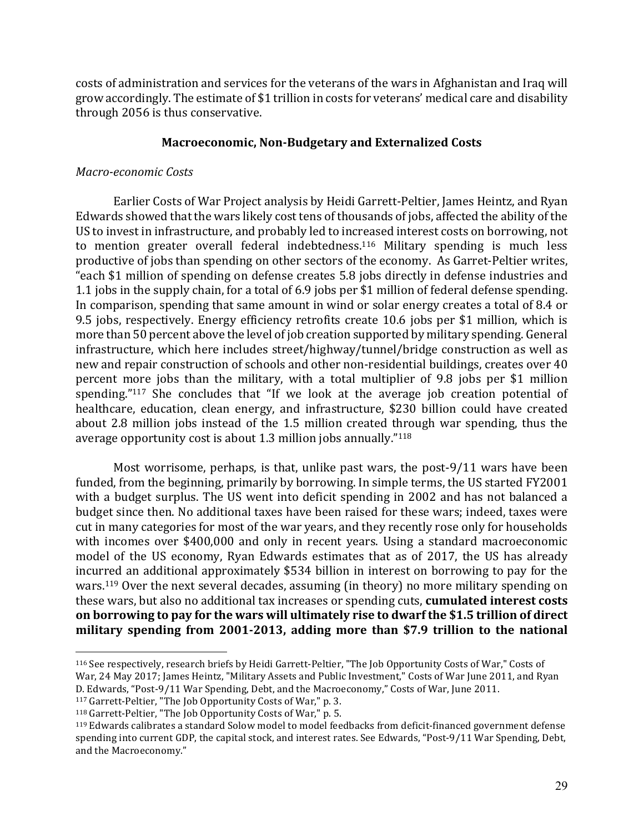costs of administration and services for the veterans of the wars in Afghanistan and Iraq will grow accordingly. The estimate of \$1 trillion in costs for veterans' medical care and disability through 2056 is thus conservative.

## **Macroeconomic, Non-Budgetary and Externalized Costs**

### *Macro-economic Costs*

Earlier Costs of War Project analysis by Heidi Garrett-Peltier, James Heintz, and Ryan Edwards showed that the wars likely cost tens of thousands of jobs, affected the ability of the US to invest in infrastructure, and probably led to increased interest costs on borrowing, not to mention greater overall federal indebtedness.<sup>116</sup> Military spending is much less productive of jobs than spending on other sectors of the economy. As Garret-Peltier writes, "each \$1 million of spending on defense creates 5.8 jobs directly in defense industries and 1.1 jobs in the supply chain, for a total of 6.9 jobs per \$1 million of federal defense spending. In comparison, spending that same amount in wind or solar energy creates a total of 8.4 or 9.5 jobs, respectively. Energy efficiency retrofits create 10.6 jobs per \$1 million, which is more than 50 percent above the level of job creation supported by military spending. General infrastructure, which here includes street/highway/tunnel/bridge construction as well as new and repair construction of schools and other non-residential buildings, creates over 40 percent more jobs than the military, with a total multiplier of 9.8 jobs per \$1 million spending." $117$  She concludes that "If we look at the average job creation potential of healthcare, education, clean energy, and infrastructure, \$230 billion could have created about 2.8 million jobs instead of the 1.5 million created through war spending, thus the average opportunity cost is about 1.3 million jobs annually." $118$ 

Most worrisome, perhaps, is that, unlike past wars, the post-9/11 wars have been funded, from the beginning, primarily by borrowing. In simple terms, the US started FY2001 with a budget surplus. The US went into deficit spending in 2002 and has not balanced a budget since then. No additional taxes have been raised for these wars; indeed, taxes were cut in many categories for most of the war years, and they recently rose only for households with incomes over \$400,000 and only in recent years. Using a standard macroeconomic model of the US economy, Ryan Edwards estimates that as of 2017, the US has already incurred an additional approximately \$534 billion in interest on borrowing to pay for the wars.<sup>119</sup> Over the next several decades, assuming (in theory) no more military spending on these wars, but also no additional tax increases or spending cuts, **cumulated interest costs** on borrowing to pay for the wars will ultimately rise to dwarf the \$1.5 trillion of direct military spending from 2001-2013, adding more than \$7.9 trillion to the national

<sup>116</sup> See respectively, research briefs by Heidi Garrett-Peltier, "The Job Opportunity Costs of War," Costs of War, 24 May 2017; James Heintz, "Military Assets and Public Investment," Costs of War June 2011, and Ryan D. Edwards, "Post-9/11 War Spending, Debt, and the Macroeconomy," Costs of War, June 2011.

 $117$  Garrett-Peltier, "The Job Opportunity Costs of War," p. 3.

<sup>&</sup>lt;sup>118</sup> Garrett-Peltier, "The Job Opportunity Costs of War," p. 5.

 $119$  Edwards calibrates a standard Solow model to model feedbacks from deficit-financed government defense spending into current GDP, the capital stock, and interest rates. See Edwards, "Post-9/11 War Spending, Debt, and the Macroeconomy."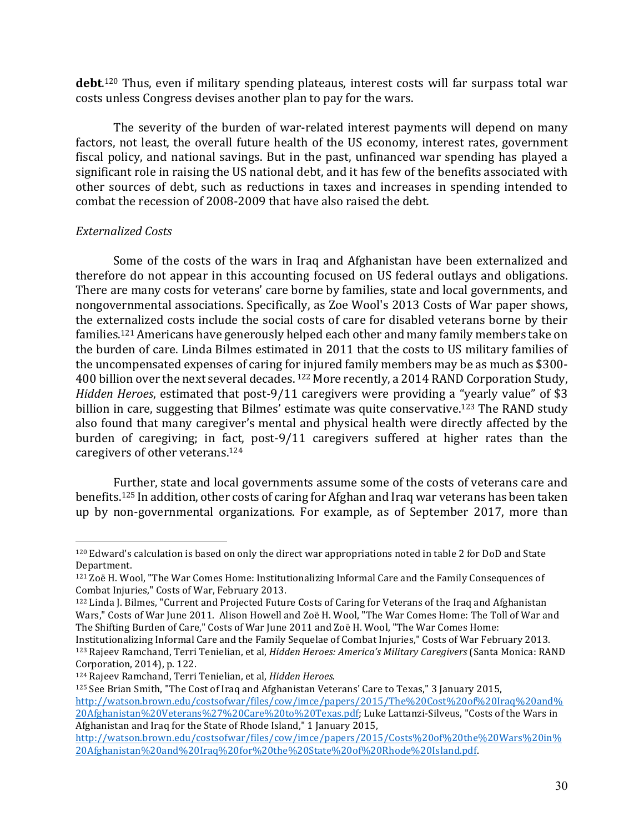**debt**.<sup>120</sup> Thus, even if military spending plateaus, interest costs will far surpass total war costs unless Congress devises another plan to pay for the wars.

The severity of the burden of war-related interest payments will depend on many factors, not least, the overall future health of the US economy, interest rates, government fiscal policy, and national savings. But in the past, unfinanced war spending has played a significant role in raising the US national debt, and it has few of the benefits associated with other sources of debt, such as reductions in taxes and increases in spending intended to combat the recession of 2008-2009 that have also raised the debt.

#### *Externalized Costs*

 $\overline{a}$ 

Some of the costs of the wars in Iraq and Afghanistan have been externalized and therefore do not appear in this accounting focused on US federal outlays and obligations. There are many costs for veterans' care borne by families, state and local governments, and nongovernmental associations. Specifically, as Zoe Wool's 2013 Costs of War paper shows, the externalized costs include the social costs of care for disabled veterans borne by their families.<sup>121</sup> Americans have generously helped each other and many family members take on the burden of care. Linda Bilmes estimated in 2011 that the costs to US military families of the uncompensated expenses of caring for injured family members may be as much as \$300-400 billion over the next several decades. <sup>122</sup> More recently, a 2014 RAND Corporation Study, *Hidden Heroes*, estimated that post-9/11 caregivers were providing a "yearly value" of \$3 billion in care, suggesting that Bilmes' estimate was quite conservative.<sup>123</sup> The RAND study also found that many caregiver's mental and physical health were directly affected by the burden of caregiving; in fact, post-9/11 caregivers suffered at higher rates than the caregivers of other veterans. $124$ 

Further, state and local governments assume some of the costs of veterans care and benefits.<sup>125</sup> In addition, other costs of caring for Afghan and Iraq war veterans has been taken up by non-governmental organizations. For example, as of September 2017, more than

 $120$  Edward's calculation is based on only the direct war appropriations noted in table 2 for DoD and State Department.

<sup>121</sup> Zoë H. Wool, "The War Comes Home: Institutionalizing Informal Care and the Family Consequences of Combat Injuries," Costs of War, February 2013.

<sup>&</sup>lt;sup>122</sup> Linda J. Bilmes, "Current and Projected Future Costs of Caring for Veterans of the Iraq and Afghanistan Wars," Costs of War June 2011. Alison Howell and Zoë H. Wool, "The War Comes Home: The Toll of War and The Shifting Burden of Care," Costs of War June 2011 and Zoë H. Wool, "The War Comes Home:

Institutionalizing Informal Care and the Family Sequelae of Combat Injuries," Costs of War February 2013. 123 Rajeev Ramchand, Terri Tenielian, et al, *Hidden Heroes: America's Military Caregivers* (Santa Monica: RAND Corporation, 2014), p. 122.

<sup>124</sup> Rajeev Ramchand, Terri Tenielian, et al, *Hidden Heroes*.

<sup>&</sup>lt;sup>125</sup> See Brian Smith, "The Cost of Iraq and Afghanistan Veterans' Care to Texas," 3 January 2015, http://watson.brown.edu/costsofwar/files/cow/imce/papers/2015/The%20Cost%20of%20Iraq%20and% 20Afghanistan%20Veterans%27%20Care%20to%20Texas.pdf; Luke Lattanzi-Silveus, "Costs of the Wars in Afghanistan and Iraq for the State of Rhode Island," 1 January 2015,

http://watson.brown.edu/costsofwar/files/cow/imce/papers/2015/Costs%20of%20the%20Wars%20in% 20Afghanistan%20and%20Iraq%20for%20the%20State%20of%20Rhode%20Island.pdf.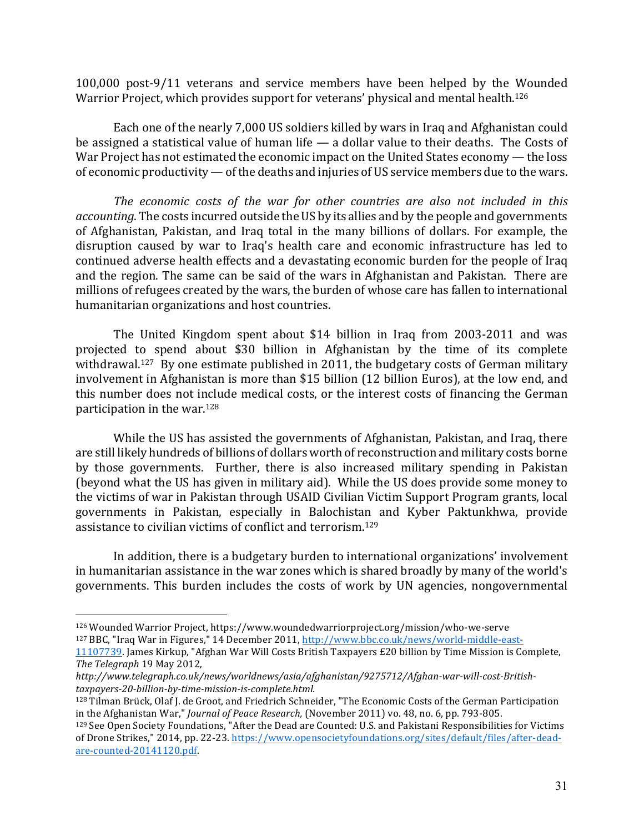100,000 post-9/11 veterans and service members have been helped by the Wounded Warrior Project, which provides support for veterans' physical and mental health.<sup>126</sup>

Each one of the nearly 7,000 US soldiers killed by wars in Iraq and Afghanistan could be assigned a statistical value of human life  $-$  a dollar value to their deaths. The Costs of War Project has not estimated the economic impact on the United States economy  $-$  the loss of economic productivity — of the deaths and injuries of US service members due to the wars.

The economic costs of the war for other countries are also not included in this *accounting*. The costs incurred outside the US by its allies and by the people and governments of Afghanistan, Pakistan, and Iraq total in the many billions of dollars. For example, the disruption caused by war to Iraq's health care and economic infrastructure has led to continued adverse health effects and a devastating economic burden for the people of Iraq and the region. The same can be said of the wars in Afghanistan and Pakistan. There are millions of refugees created by the wars, the burden of whose care has fallen to international humanitarian organizations and host countries.

The United Kingdom spent about \$14 billion in Iraq from 2003-2011 and was projected to spend about \$30 billion in Afghanistan by the time of its complete withdrawal.<sup>127</sup> By one estimate published in 2011, the budgetary costs of German military involvement in Afghanistan is more than \$15 billion (12 billion Euros), at the low end, and this number does not include medical costs, or the interest costs of financing the German participation in the war. $128$ 

While the US has assisted the governments of Afghanistan, Pakistan, and Iraq, there are still likely hundreds of billions of dollars worth of reconstruction and military costs borne by those governments. Further, there is also increased military spending in Pakistan (beyond what the US has given in military aid). While the US does provide some money to the victims of war in Pakistan through USAID Civilian Victim Support Program grants, local governments in Pakistan, especially in Balochistan and Kyber Paktunkhwa, provide assistance to civilian victims of conflict and terrorism.<sup>129</sup>

In addition, there is a budgetary burden to international organizations' involvement in humanitarian assistance in the war zones which is shared broadly by many of the world's governments. This burden includes the costs of work by UN agencies, nongovernmental

<sup>126</sup> Wounded Warrior Project, https://www.woundedwarriorproject.org/mission/who-we-serve <sup>127</sup> BBC, "Iraq War in Figures," 14 December 2011, http://www.bbc.co.uk/news/world-middle-east-

<sup>11107739.</sup> James Kirkup, "Afghan War Will Costs British Taxpayers £20 billion by Time Mission is Complete, The Telegraph 19 May 2012,

*http://www.telegraph.co.uk/news/worldnews/asia/afghanistan/9275712/Afghan-war-will-cost-Britishtaxpayers-20-billion-by-time-mission-is-complete.html.*

<sup>&</sup>lt;sup>128</sup> Tilman Brück, Olaf J. de Groot, and Friedrich Schneider, "The Economic Costs of the German Participation in the Afghanistan War," *Journal of Peace Research*, (November 2011) vo. 48, no. 6, pp. 793-805.

<sup>&</sup>lt;sup>129</sup> See Open Society Foundations, "After the Dead are Counted: U.S. and Pakistani Responsibilities for Victims of Drone Strikes," 2014, pp. 22-23. https://www.opensocietyfoundations.org/sites/default/files/after-deadare-counted-20141120.pdf.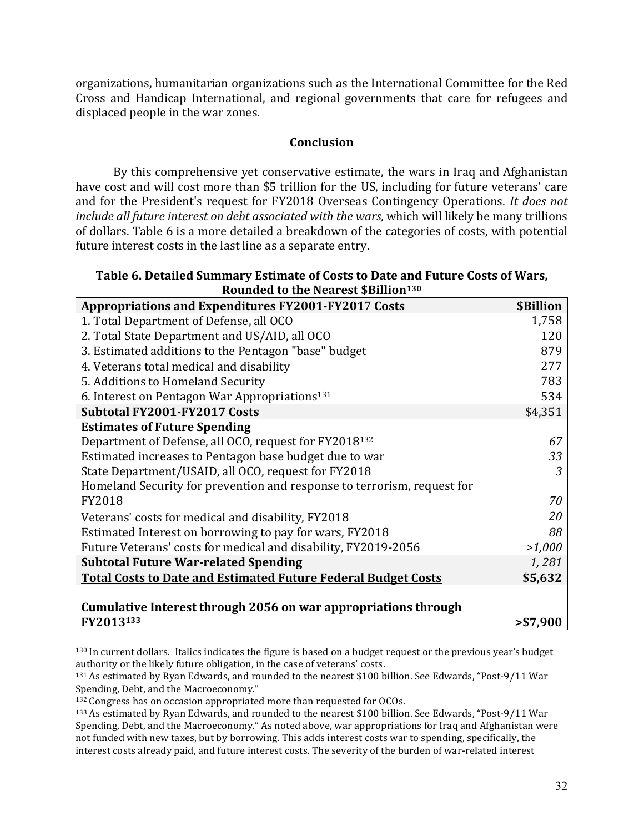organizations, humanitarian organizations such as the International Committee for the Red Cross and Handicap International, and regional governments that care for refugees and displaced people in the war zones.

### **Conclusion**

By this comprehensive yet conservative estimate, the wars in Iraq and Afghanistan have cost and will cost more than \$5 trillion for the US, including for future veterans' care and for the President's request for FY2018 Overseas Contingency Operations. It does not *include* all future interest on debt associated with the wars, which will likely be many trillions of dollars. Table 6 is a more detailed a breakdown of the categories of costs, with potential future interest costs in the last line as a separate entry.

| Table 6. Detailed Summary Estimate of Costs to Date and Future Costs of Wars, |
|-------------------------------------------------------------------------------|
| Rounded to the Nearest \$Billion <sup>130</sup>                               |

| <b>Appropriations and Expenditures FY2001-FY2017 Costs</b>              | \$Billion |
|-------------------------------------------------------------------------|-----------|
| 1. Total Department of Defense, all OCO                                 | 1,758     |
| 2. Total State Department and US/AID, all OCO                           | 120       |
| 3. Estimated additions to the Pentagon "base" budget                    | 879       |
| 4. Veterans total medical and disability                                | 277       |
| 5. Additions to Homeland Security                                       | 783       |
| 6. Interest on Pentagon War Appropriations <sup>131</sup>               | 534       |
| Subtotal FY2001-FY2017 Costs                                            | \$4,351   |
| <b>Estimates of Future Spending</b>                                     |           |
| Department of Defense, all OCO, request for FY2018 <sup>132</sup>       | 67        |
| Estimated increases to Pentagon base budget due to war                  | 33        |
| State Department/USAID, all OCO, request for FY2018                     | 3         |
| Homeland Security for prevention and response to terrorism, request for |           |
| <b>FY2018</b>                                                           | 70        |
| Veterans' costs for medical and disability, FY2018                      | 20        |
| Estimated Interest on borrowing to pay for wars, FY2018                 | 88        |
| Future Veterans' costs for medical and disability, FY2019-2056          | >1,000    |
| <b>Subtotal Future War-related Spending</b>                             | 1,281     |
| <b>Total Costs to Date and Estimated Future Federal Budget Costs</b>    | \$5,632   |
|                                                                         |           |
| Cumulative Interest through 2056 on war appropriations through          |           |
| FY2013133                                                               | > \$7,900 |

<sup>130</sup> In current dollars. Italics indicates the figure is based on a budget request or the previous year's budget authority or the likely future obligation, in the case of veterans' costs.

<sup>&</sup>lt;sup>131</sup> As estimated by Ryan Edwards, and rounded to the nearest \$100 billion. See Edwards, "Post-9/11 War Spending, Debt, and the Macroeconomy."

 $132$  Congress has on occasion appropriated more than requested for OCOs.

<sup>133</sup> As estimated by Ryan Edwards, and rounded to the nearest \$100 billion. See Edwards, "Post-9/11 War Spending, Debt, and the Macroeconomy." As noted above, war appropriations for Iraq and Afghanistan were not funded with new taxes, but by borrowing. This adds interest costs war to spending, specifically, the interest costs already paid, and future interest costs. The severity of the burden of war-related interest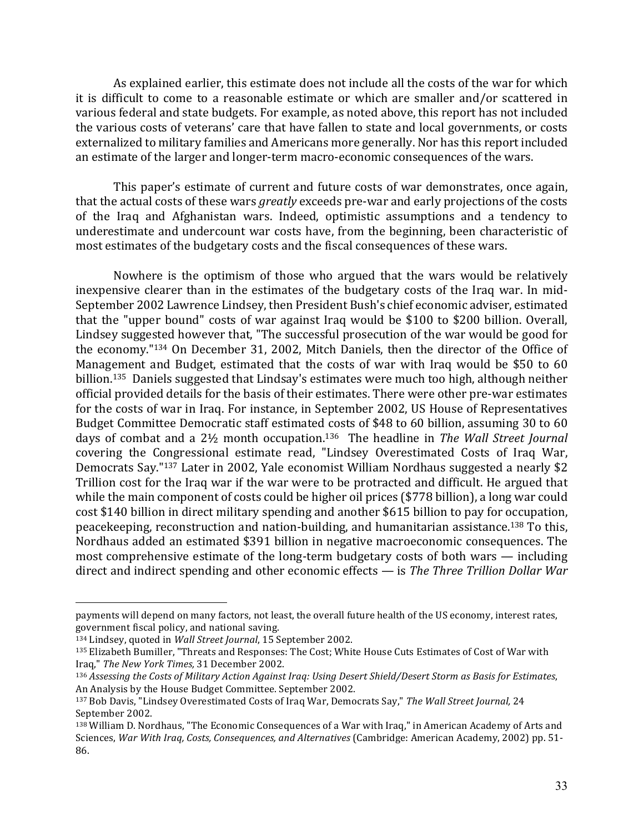As explained earlier, this estimate does not include all the costs of the war for which it is difficult to come to a reasonable estimate or which are smaller and/or scattered in various federal and state budgets. For example, as noted above, this report has not included the various costs of veterans' care that have fallen to state and local governments, or costs externalized to military families and Americans more generally. Nor has this report included an estimate of the larger and longer-term macro-economic consequences of the wars.

This paper's estimate of current and future costs of war demonstrates, once again, that the actual costs of these wars *greatly* exceeds pre-war and early projections of the costs of the Iraq and Afghanistan wars. Indeed, optimistic assumptions and a tendency to underestimate and undercount war costs have, from the beginning, been characteristic of most estimates of the budgetary costs and the fiscal consequences of these wars.

Nowhere is the optimism of those who argued that the wars would be relatively inexpensive clearer than in the estimates of the budgetary costs of the Iraq war. In mid-September 2002 Lawrence Lindsey, then President Bush's chief economic adviser, estimated that the "upper bound" costs of war against Iraq would be \$100 to \$200 billion. Overall, Lindsey suggested however that, "The successful prosecution of the war would be good for the economy."134 On December 31, 2002, Mitch Daniels, then the director of the Office of Management and Budget, estimated that the costs of war with Iraq would be \$50 to 60 billion.<sup>135</sup> Daniels suggested that Lindsay's estimates were much too high, although neither official provided details for the basis of their estimates. There were other pre-war estimates for the costs of war in Iraq. For instance, in September 2002, US House of Representatives Budget Committee Democratic staff estimated costs of \$48 to 60 billion, assuming 30 to 60 days of combat and a 2½ month occupation.<sup>136</sup> The headline in *The Wall Street Journal* covering the Congressional estimate read, "Lindsey Overestimated Costs of Iraq War, Democrats Say."137 Later in 2002, Yale economist William Nordhaus suggested a nearly \$2 Trillion cost for the Iraq war if the war were to be protracted and difficult. He argued that while the main component of costs could be higher oil prices  $(\$778$  billion), a long war could cost \$140 billion in direct military spending and another \$615 billion to pay for occupation, peacekeeping, reconstruction and nation-building, and humanitarian assistance.<sup>138</sup> To this, Nordhaus added an estimated \$391 billion in negative macroeconomic consequences. The most comprehensive estimate of the long-term budgetary costs of both wars  $-$  including direct and indirect spending and other economic effects — is *The Three Trillion Dollar War* 

payments will depend on many factors, not least, the overall future health of the US economy, interest rates, government fiscal policy, and national saving.

<sup>134</sup> Lindsey, quoted in *Wall Street Journal*, 15 September 2002.

<sup>135</sup> Elizabeth Bumiller, "Threats and Responses: The Cost; White House Cuts Estimates of Cost of War with Iraq," *The New York Times,* 31 December 2002.

<sup>136</sup> Assessing the Costs of Military Action Against Iraq: Using Desert Shield/Desert Storm as Basis for Estimates, An Analysis by the House Budget Committee. September 2002.

<sup>&</sup>lt;sup>137</sup> Bob Davis, "Lindsey Overestimated Costs of Iraq War, Democrats Say," The Wall Street Journal, 24 September 2002.

<sup>138</sup> William D. Nordhaus, "The Economic Consequences of a War with Iraq," in American Academy of Arts and Sciences, *War With Iraq, Costs, Consequences, and Alternatives* (Cambridge: American Academy, 2002) pp. 51-86.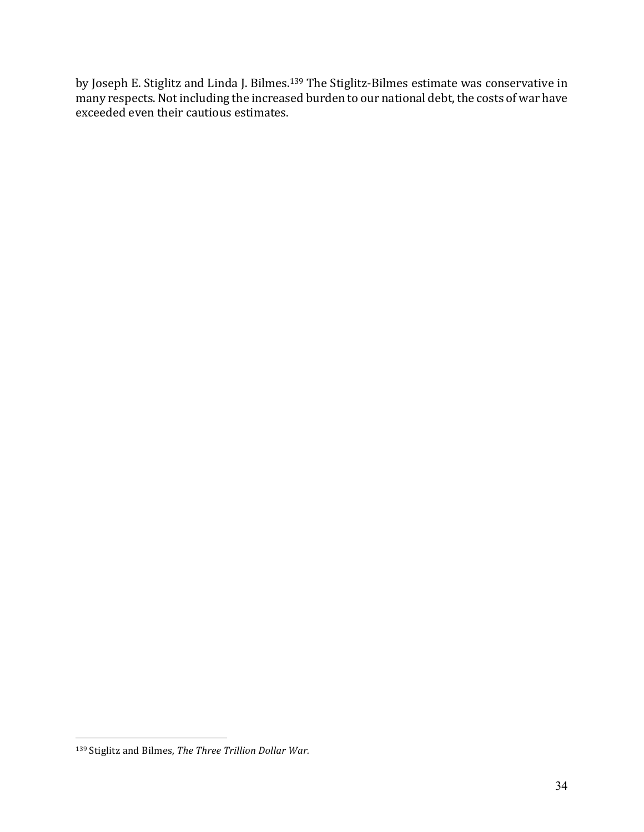by Joseph E. Stiglitz and Linda J. Bilmes.<sup>139</sup> The Stiglitz-Bilmes estimate was conservative in many respects. Not including the increased burden to our national debt, the costs of war have exceeded even their cautious estimates.

<sup>139</sup> Stiglitz and Bilmes, *The Three Trillion Dollar War.*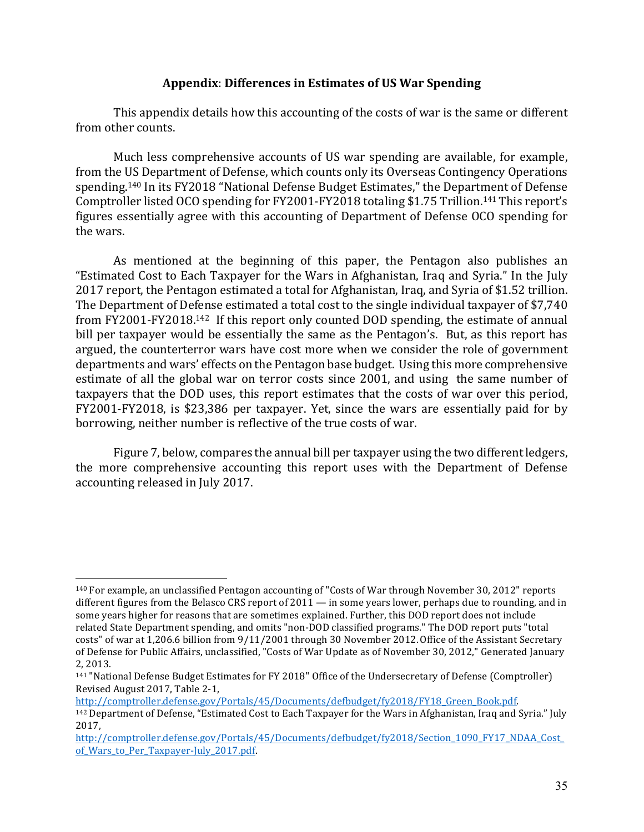### Appendix: Differences in Estimates of US War Spending

This appendix details how this accounting of the costs of war is the same or different from other counts.

Much less comprehensive accounts of US war spending are available, for example, from the US Department of Defense, which counts only its Overseas Contingency Operations spending.<sup>140</sup> In its FY2018 "National Defense Budget Estimates," the Department of Defense Comptroller listed OCO spending for FY2001-FY2018 totaling \$1.75 Trillion.<sup>141</sup> This report's figures essentially agree with this accounting of Department of Defense OCO spending for the wars.

As mentioned at the beginning of this paper, the Pentagon also publishes an "Estimated Cost to Each Taxpayer for the Wars in Afghanistan, Iraq and Syria." In the July 2017 report, the Pentagon estimated a total for Afghanistan, Iraq, and Syria of \$1.52 trillion. The Department of Defense estimated a total cost to the single individual taxpayer of \$7,740 from FY2001-FY2018.<sup>142</sup> If this report only counted DOD spending, the estimate of annual bill per taxpayer would be essentially the same as the Pentagon's. But, as this report has argued, the counterterror wars have cost more when we consider the role of government departments and wars' effects on the Pentagon base budget. Using this more comprehensive estimate of all the global war on terror costs since 2001, and using the same number of taxpayers that the DOD uses, this report estimates that the costs of war over this period, FY2001-FY2018, is \$23,386 per taxpayer. Yet, since the wars are essentially paid for by borrowing, neither number is reflective of the true costs of war.

Figure 7, below, compares the annual bill per taxpayer using the two different ledgers, the more comprehensive accounting this report uses with the Department of Defense accounting released in July 2017.

http://comptroller.defense.gov/Portals/45/Documents/defbudget/fy2018/FY18\_Green\_Book.pdf. 

<sup>&</sup>lt;sup>140</sup> For example, an unclassified Pentagon accounting of "Costs of War through November 30, 2012" reports different figures from the Belasco CRS report of  $2011 -$  in some years lower, perhaps due to rounding, and in some years higher for reasons that are sometimes explained. Further, this DOD report does not include related State Department spending, and omits "non-DOD classified programs." The DOD report puts "total costs" of war at 1,206.6 billion from 9/11/2001 through 30 November 2012. Office of the Assistant Secretary of Defense for Public Affairs, unclassified, "Costs of War Update as of November 30, 2012," Generated January 2, 2013. 

<sup>&</sup>lt;sup>141</sup> "National Defense Budget Estimates for FY 2018" Office of the Undersecretary of Defense (Comptroller) Revised August 2017, Table 2-1,

<sup>&</sup>lt;sup>142</sup> Department of Defense, "Estimated Cost to Each Taxpayer for the Wars in Afghanistan, Iraq and Syria." July 2017, 

http://comptroller.defense.gov/Portals/45/Documents/defbudget/fy2018/Section\_1090\_FY17\_NDAA\_Cost\_ of Wars to Per Taxpayer-July 2017.pdf.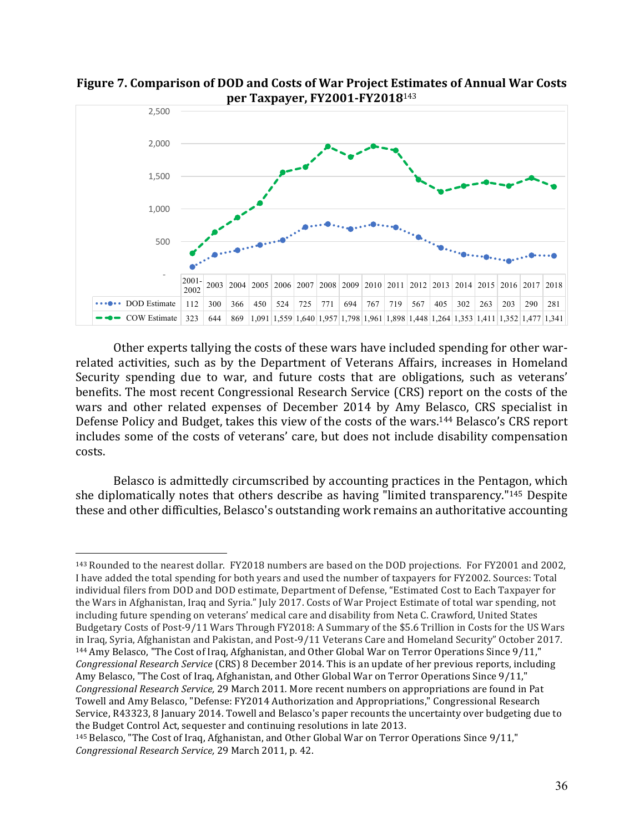

Figure 7. Comparison of DOD and Costs of War Project Estimates of Annual War Costs **per Taxpayer, FY2001-FY2018**<sup>143</sup>

Other experts tallying the costs of these wars have included spending for other warrelated activities, such as by the Department of Veterans Affairs, increases in Homeland Security spending due to war, and future costs that are obligations, such as veterans' benefits. The most recent Congressional Research Service (CRS) report on the costs of the wars and other related expenses of December 2014 by Amy Belasco, CRS specialist in Defense Policy and Budget, takes this view of the costs of the wars.<sup>144</sup> Belasco's CRS report includes some of the costs of veterans' care, but does not include disability compensation costs. 

Belasco is admittedly circumscribed by accounting practices in the Pentagon, which she diplomatically notes that others describe as having "limited transparency."<sup>145</sup> Despite these and other difficulties, Belasco's outstanding work remains an authoritative accounting

 $\overline{a}$ <sup>143</sup> Rounded to the nearest dollar. FY2018 numbers are based on the DOD projections. For FY2001 and 2002, I have added the total spending for both years and used the number of taxpayers for FY2002. Sources: Total individual filers from DOD and DOD estimate, Department of Defense, "Estimated Cost to Each Taxpayer for the Wars in Afghanistan, Iraq and Syria." July 2017. Costs of War Project Estimate of total war spending, not including future spending on veterans' medical care and disability from Neta C. Crawford, United States Budgetary Costs of Post-9/11 Wars Through FY2018: A Summary of the \$5.6 Trillion in Costs for the US Wars in Iraq, Syria, Afghanistan and Pakistan, and Post-9/11 Veterans Care and Homeland Security" October 2017.  $144$  Amy Belasco, "The Cost of Iraq, Afghanistan, and Other Global War on Terror Operations Since  $9/11$ ," *Congressional Research Service* (CRS) 8 December 2014. This is an update of her previous reports, including Amy Belasco, "The Cost of Iraq, Afghanistan, and Other Global War on Terror Operations Since 9/11," *Congressional Research Service,* 29 March 2011. More recent numbers on appropriations are found in Pat Towell and Amy Belasco, "Defense: FY2014 Authorization and Appropriations," Congressional Research Service, R43323, 8 January 2014. Towell and Belasco's paper recounts the uncertainty over budgeting due to the Budget Control Act, sequester and continuing resolutions in late 2013.

<sup>145</sup> Belasco, "The Cost of Iraq, Afghanistan, and Other Global War on Terror Operations Since 9/11," *Congressional Research Service,* 29 March 2011, p*.* 42.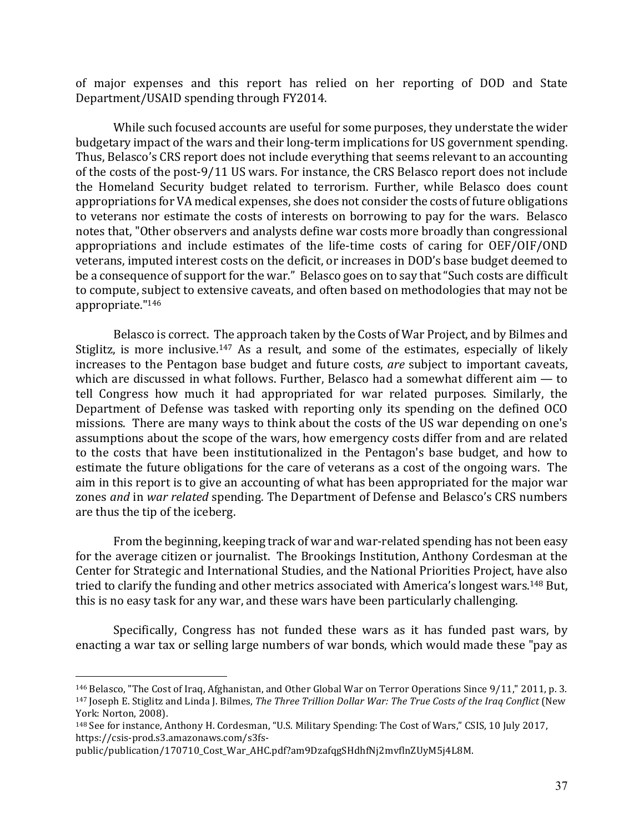of major expenses and this report has relied on her reporting of DOD and State Department/USAID spending through FY2014.

While such focused accounts are useful for some purposes, they understate the wider budgetary impact of the wars and their long-term implications for US government spending. Thus, Belasco's CRS report does not include everything that seems relevant to an accounting of the costs of the post-9/11 US wars. For instance, the CRS Belasco report does not include the Homeland Security budget related to terrorism. Further, while Belasco does count appropriations for VA medical expenses, she does not consider the costs of future obligations to veterans nor estimate the costs of interests on borrowing to pay for the wars. Belasco notes that, "Other observers and analysts define war costs more broadly than congressional appropriations and include estimates of the life-time costs of caring for OEF/OIF/OND veterans, imputed interest costs on the deficit, or increases in DOD's base budget deemed to be a consequence of support for the war." Belasco goes on to say that "Such costs are difficult to compute, subject to extensive caveats, and often based on methodologies that may not be appropriate."146

Belasco is correct. The approach taken by the Costs of War Project, and by Bilmes and Stiglitz, is more inclusive.<sup>147</sup> As a result, and some of the estimates, especially of likely increases to the Pentagon base budget and future costs, *are* subject to important caveats, which are discussed in what follows. Further, Belasco had a somewhat different  $\lim$   $-$  to tell Congress how much it had appropriated for war related purposes. Similarly, the Department of Defense was tasked with reporting only its spending on the defined OCO missions. There are many ways to think about the costs of the US war depending on one's assumptions about the scope of the wars, how emergency costs differ from and are related to the costs that have been institutionalized in the Pentagon's base budget, and how to estimate the future obligations for the care of veterans as a cost of the ongoing wars. The aim in this report is to give an accounting of what has been appropriated for the major war zones *and* in *war related* spending. The Department of Defense and Belasco's CRS numbers are thus the tip of the iceberg.

From the beginning, keeping track of war and war-related spending has not been easy for the average citizen or journalist. The Brookings Institution, Anthony Cordesman at the Center for Strategic and International Studies, and the National Priorities Project, have also tried to clarify the funding and other metrics associated with America's longest wars.<sup>148</sup> But, this is no easy task for any war, and these wars have been particularly challenging.

Specifically, Congress has not funded these wars as it has funded past wars, by enacting a war tax or selling large numbers of war bonds, which would made these "pay as

<sup>&</sup>lt;sup>146</sup> Belasco, "The Cost of Iraq, Afghanistan, and Other Global War on Terror Operations Since 9/11," 2011, p. 3. <sup>147</sup> Joseph E. Stiglitz and Linda J. Bilmes, *The Three Trillion Dollar War: The True Costs of the Iraq Conflict* (New York: Norton, 2008).

<sup>&</sup>lt;sup>148</sup> See for instance, Anthony H. Cordesman, "U.S. Military Spending: The Cost of Wars," CSIS, 10 July 2017, https://csis-prod.s3.amazonaws.com/s3fs-

public/publication/170710\_Cost\_War\_AHC.pdf?am9DzafqgSHdhfNj2mvflnZUyM5j4L8M.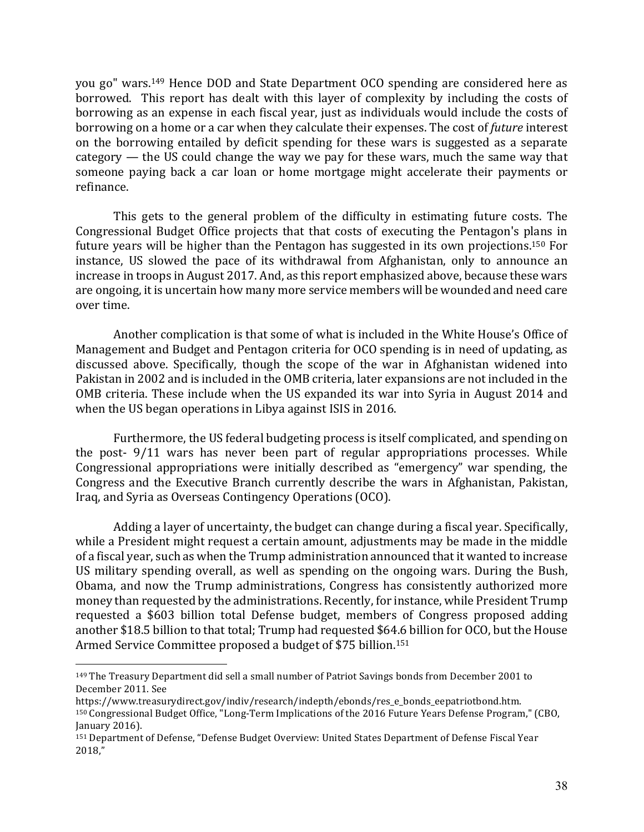you go" wars.<sup>149</sup> Hence DOD and State Department OCO spending are considered here as borrowed. This report has dealt with this layer of complexity by including the costs of borrowing as an expense in each fiscal year, just as individuals would include the costs of borrowing on a home or a car when they calculate their expenses. The cost of *future* interest on the borrowing entailed by deficit spending for these wars is suggested as a separate category  $-$  the US could change the way we pay for these wars, much the same way that someone paying back a car loan or home mortgage might accelerate their payments or refinance.

This gets to the general problem of the difficulty in estimating future costs. The Congressional Budget Office projects that that costs of executing the Pentagon's plans in future years will be higher than the Pentagon has suggested in its own projections.<sup>150</sup> For instance, US slowed the pace of its withdrawal from Afghanistan, only to announce an increase in troops in August 2017. And, as this report emphasized above, because these wars are ongoing, it is uncertain how many more service members will be wounded and need care over time.

Another complication is that some of what is included in the White House's Office of Management and Budget and Pentagon criteria for OCO spending is in need of updating, as discussed above. Specifically, though the scope of the war in Afghanistan widened into Pakistan in 2002 and is included in the OMB criteria, later expansions are not included in the OMB criteria. These include when the US expanded its war into Syria in August 2014 and when the US began operations in Libya against ISIS in 2016.

Furthermore, the US federal budgeting process is itself complicated, and spending on the post-  $9/11$  wars has never been part of regular appropriations processes. While Congressional appropriations were initially described as "emergency" war spending, the Congress and the Executive Branch currently describe the wars in Afghanistan, Pakistan, Iraq, and Syria as Overseas Contingency Operations (OCO).

Adding a layer of uncertainty, the budget can change during a fiscal year. Specifically, while a President might request a certain amount, adjustments may be made in the middle of a fiscal year, such as when the Trump administration announced that it wanted to increase US military spending overall, as well as spending on the ongoing wars. During the Bush, Obama, and now the Trump administrations, Congress has consistently authorized more money than requested by the administrations. Recently, for instance, while President Trump requested a \$603 billion total Defense budget, members of Congress proposed adding another \$18.5 billion to that total; Trump had requested \$64.6 billion for OCO, but the House Armed Service Committee proposed a budget of \$75 billion.<sup>151</sup>

<sup>&</sup>lt;sup>149</sup> The Treasury Department did sell a small number of Patriot Savings bonds from December 2001 to December 2011. See 

https://www.treasurydirect.gov/indiv/research/indepth/ebonds/res\_e\_bonds\_eepatriotbond.htm. 150 Congressional Budget Office, "Long-Term Implications of the 2016 Future Years Defense Program," (CBO, January 2016).

<sup>151</sup> Department of Defense, "Defense Budget Overview: United States Department of Defense Fiscal Year 2018,"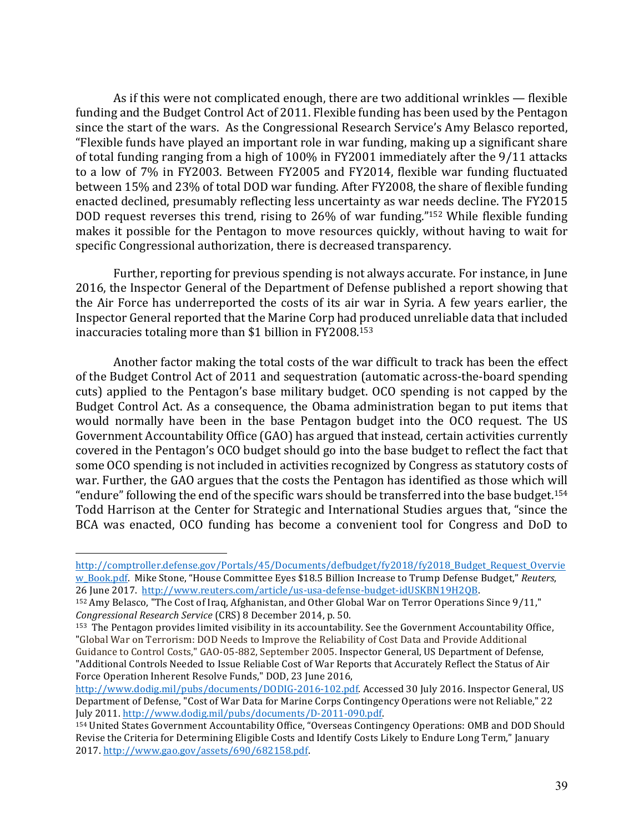As if this were not complicated enough, there are two additional wrinkles  $-$  flexible funding and the Budget Control Act of 2011. Flexible funding has been used by the Pentagon since the start of the wars. As the Congressional Research Service's Amy Belasco reported, "Flexible funds have played an important role in war funding, making up a significant share of total funding ranging from a high of 100% in FY2001 immediately after the 9/11 attacks to a low of 7% in FY2003. Between FY2005 and FY2014, flexible war funding fluctuated between 15% and 23% of total DOD war funding. After FY2008, the share of flexible funding enacted declined, presumably reflecting less uncertainty as war needs decline. The FY2015 DOD request reverses this trend, rising to  $26\%$  of war funding."<sup>152</sup> While flexible funding makes it possible for the Pentagon to move resources quickly, without having to wait for specific Congressional authorization, there is decreased transparency.

Further, reporting for previous spending is not always accurate. For instance, in June 2016, the Inspector General of the Department of Defense published a report showing that the Air Force has underreported the costs of its air war in Syria. A few years earlier, the Inspector General reported that the Marine Corp had produced unreliable data that included inaccuracies totaling more than \$1 billion in  $FY2008.153$ 

Another factor making the total costs of the war difficult to track has been the effect of the Budget Control Act of 2011 and sequestration (automatic across-the-board spending cuts) applied to the Pentagon's base military budget. OCO spending is not capped by the Budget Control Act. As a consequence, the Obama administration began to put items that would normally have been in the base Pentagon budget into the OCO request. The US Government Accountability Office (GAO) has argued that instead, certain activities currently covered in the Pentagon's OCO budget should go into the base budget to reflect the fact that some OCO spending is not included in activities recognized by Congress as statutory costs of war. Further, the GAO argues that the costs the Pentagon has identified as those which will " endure" following the end of the specific wars should be transferred into the base budget.<sup>154</sup> Todd Harrison at the Center for Strategic and International Studies argues that, "since the BCA was enacted, OCO funding has become a convenient tool for Congress and DoD to

http://comptroller.defense.gov/Portals/45/Documents/defbudget/fy2018/fy2018\_Budget\_Request\_Overvie w\_Book.pdf. Mike Stone, "House Committee Eyes \$18.5 Billion Increase to Trump Defense Budget," Reuters, 26 June 2017. http://www.reuters.com/article/us-usa-defense-budget-idUSKBN19H2QB.

 $152$  Amy Belasco, "The Cost of Iraq, Afghanistan, and Other Global War on Terror Operations Since  $9/11$ ," *Congressional Research Service* (CRS) 8 December 2014, p. 50.

<sup>&</sup>lt;sup>153</sup> The Pentagon provides limited visibility in its accountability. See the Government Accountability Office, "Global War on Terrorism: DOD Needs to Improve the Reliability of Cost Data and Provide Additional Guidance to Control Costs," GAO-05-882, September 2005. Inspector General, US Department of Defense, "Additional Controls Needed to Issue Reliable Cost of War Reports that Accurately Reflect the Status of Air Force Operation Inherent Resolve Funds," DOD, 23 June 2016,

http://www.dodig.mil/pubs/documents/DODIG-2016-102.pdf. Accessed 30 July 2016. Inspector General, US Department of Defense, "Cost of War Data for Marine Corps Contingency Operations were not Reliable," 22 July 2011. http://www.dodig.mil/pubs/documents/D-2011-090.pdf.

<sup>154</sup> United States Government Accountability Office, "Overseas Contingency Operations: OMB and DOD Should Revise the Criteria for Determining Eligible Costs and Identify Costs Likely to Endure Long Term," January 2017. http://www.gao.gov/assets/690/682158.pdf.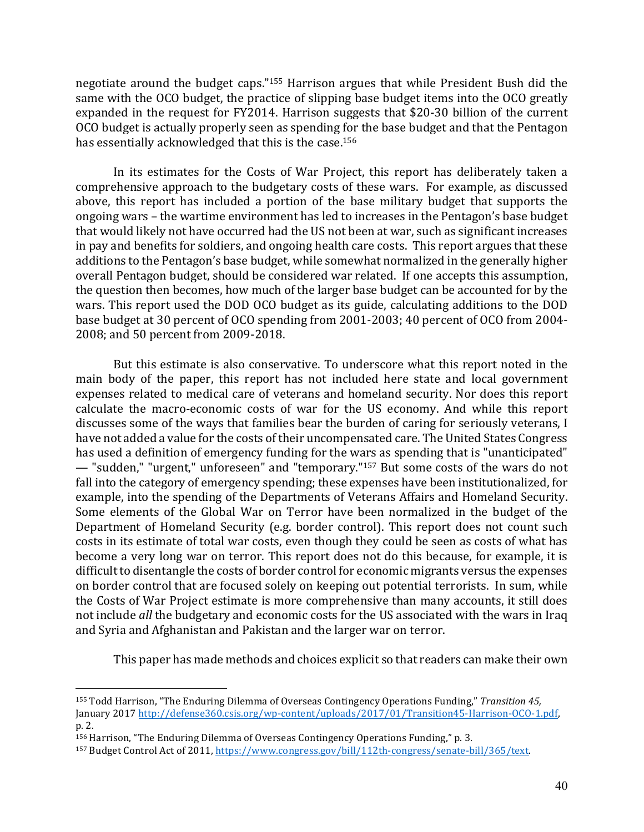negotiate around the budget caps."<sup>155</sup> Harrison argues that while President Bush did the same with the OCO budget, the practice of slipping base budget items into the OCO greatly expanded in the request for FY2014. Harrison suggests that \$20-30 billion of the current OCO budget is actually properly seen as spending for the base budget and that the Pentagon has essentially acknowledged that this is the case.<sup>156</sup>

In its estimates for the Costs of War Project, this report has deliberately taken a comprehensive approach to the budgetary costs of these wars. For example, as discussed above, this report has included a portion of the base military budget that supports the ongoing wars – the wartime environment has led to increases in the Pentagon's base budget that would likely not have occurred had the US not been at war, such as significant increases in pay and benefits for soldiers, and ongoing health care costs. This report argues that these additions to the Pentagon's base budget, while somewhat normalized in the generally higher overall Pentagon budget, should be considered war related. If one accepts this assumption, the question then becomes, how much of the larger base budget can be accounted for by the wars. This report used the DOD OCO budget as its guide, calculating additions to the DOD base budget at 30 percent of OCO spending from 2001-2003; 40 percent of OCO from 2004-2008; and 50 percent from 2009-2018.

But this estimate is also conservative. To underscore what this report noted in the main body of the paper, this report has not included here state and local government expenses related to medical care of veterans and homeland security. Nor does this report calculate the macro-economic costs of war for the US economy. And while this report discusses some of the ways that families bear the burden of caring for seriously veterans, I have not added a value for the costs of their uncompensated care. The United States Congress has used a definition of emergency funding for the wars as spending that is "unanticipated" — "sudden," "urgent," unforeseen" and "temporary."<sup>157</sup> But some costs of the wars do not fall into the category of emergency spending; these expenses have been institutionalized, for example, into the spending of the Departments of Veterans Affairs and Homeland Security. Some elements of the Global War on Terror have been normalized in the budget of the Department of Homeland Security (e.g. border control). This report does not count such costs in its estimate of total war costs, even though they could be seen as costs of what has become a very long war on terror. This report does not do this because, for example, it is difficult to disentangle the costs of border control for economic migrants versus the expenses on border control that are focused solely on keeping out potential terrorists. In sum, while the Costs of War Project estimate is more comprehensive than many accounts, it still does not include *all* the budgetary and economic costs for the US associated with the wars in Iraq and Syria and Afghanistan and Pakistan and the larger war on terror.

This paper has made methods and choices explicit so that readers can make their own

<sup>155</sup> Todd Harrison, "The Enduring Dilemma of Overseas Contingency Operations Funding," *Transition 45,* January 2017 http://defense360.csis.org/wp-content/uploads/2017/01/Transition45-Harrison-OCO-1.pdf, p. 2.

<sup>156</sup> Harrison, "The Enduring Dilemma of Overseas Contingency Operations Funding," p. 3.

<sup>157</sup> Budget Control Act of 2011, https://www.congress.gov/bill/112th-congress/senate-bill/365/text.